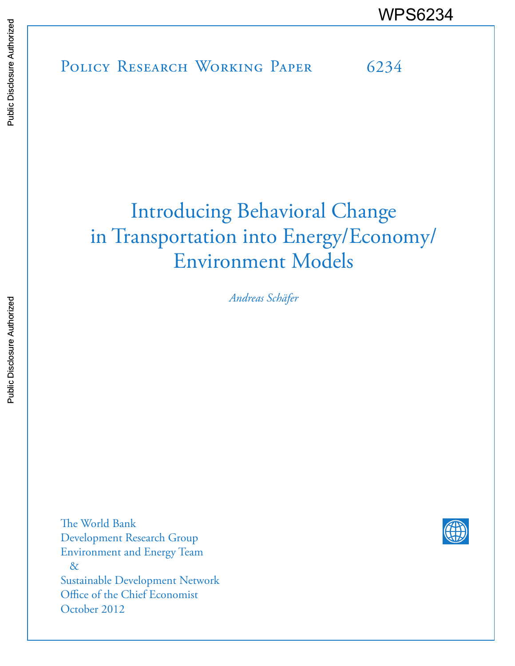# POLICY RESEARCH WORKING PAPER 6234 WPS6234<br>
Media<br>
POLICY RESEARCH WORKING PAPER 6234<br>
POLICY RESEARCH WORKING PAPER 6234

# Introducing Behavioral Change in Transportation into Energy/Economy/ Environment Models

*Andreas Schäfer* 

The World Bank Development Research Group Environment and Energy Team & Sustainable Development Network Office of the Chief Economist October 2012

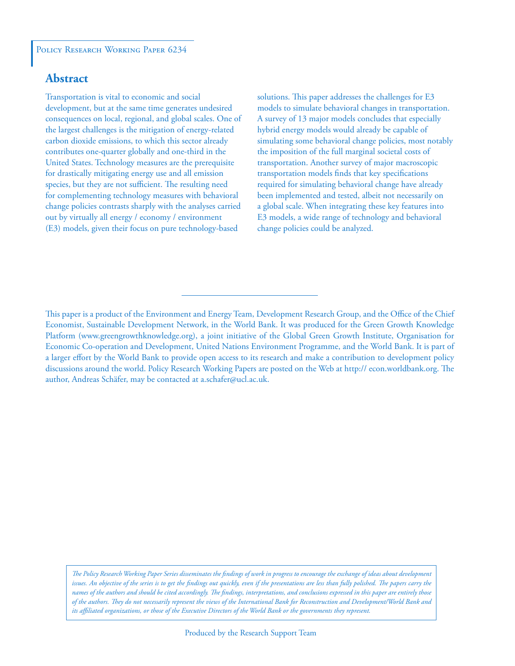### POLICY RESEARCH WORKING PAPER 6234

# **Abstract**

Transportation is vital to economic and social development, but at the same time generates undesired consequences on local, regional, and global scales. One of the largest challenges is the mitigation of energy-related carbon dioxide emissions, to which this sector already contributes one-quarter globally and one-third in the United States. Technology measures are the prerequisite for drastically mitigating energy use and all emission species, but they are not sufficient. The resulting need for complementing technology measures with behavioral change policies contrasts sharply with the analyses carried out by virtually all energy / economy / environment (E3) models, given their focus on pure technology-based

solutions. This paper addresses the challenges for E3 models to simulate behavioral changes in transportation. A survey of 13 major models concludes that especially hybrid energy models would already be capable of simulating some behavioral change policies, most notably the imposition of the full marginal societal costs of transportation. Another survey of major macroscopic transportation models finds that key specifications required for simulating behavioral change have already been implemented and tested, albeit not necessarily on a global scale. When integrating these key features into E3 models, a wide range of technology and behavioral change policies could be analyzed.

*The Policy Research Working Paper Series disseminates the findings of work in progress to encourage the exchange of ideas about development*  issues. An objective of the series is to get the findings out quickly, even if the presentations are less than fully polished. The papers carry the *names of the authors and should be cited accordingly. The findings, interpretations, and conclusions expressed in this paper are entirely those of the authors. They do not necessarily represent the views of the International Bank for Reconstruction and Development/World Bank and its affiliated organizations, or those of the Executive Directors of the World Bank or the governments they represent.*

This paper is a product of the Environment and Energy Team, Development Research Group, and the Office of the Chief Economist, Sustainable Development Network, in the World Bank. It was produced for the Green Growth Knowledge Platform (www.greengrowthknowledge.org), a joint initiative of the Global Green Growth Institute, Organisation for Economic Co-operation and Development, United Nations Environment Programme, and the World Bank. It is part of a larger effort by the World Bank to provide open access to its research and make a contribution to development policy discussions around the world. Policy Research Working Papers are posted on the Web at http:// econ.worldbank.org. The author, Andreas Schäfer, may be contacted at a.schafer@ucl.ac.uk.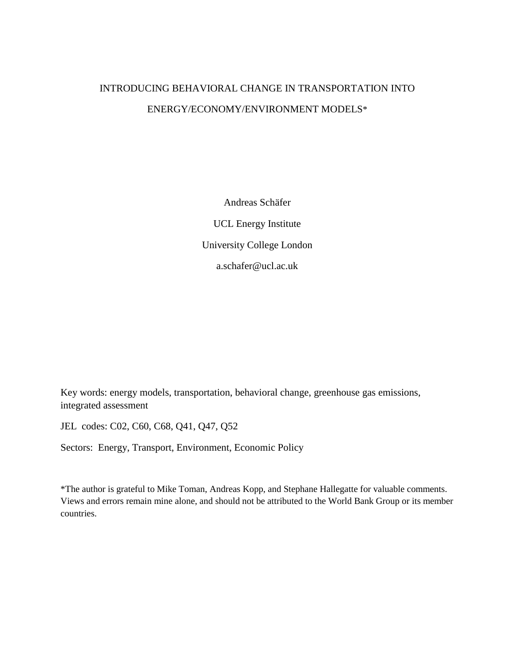# INTRODUCING BEHAVIORAL CHANGE IN TRANSPORTATION INTO ENERGY/ECONOMY/ENVIRONMENT MODELS\*

Andreas Schäfer UCL Energy Institute University College London a.schafer@ucl.ac.uk

Key words: energy models, transportation, behavioral change, greenhouse gas emissions, integrated assessment

JEL codes: C02, C60, C68, Q41, Q47, Q52

Sectors: Energy, Transport, Environment, Economic Policy

\*The author is grateful to Mike Toman, Andreas Kopp, and Stephane Hallegatte for valuable comments. Views and errors remain mine alone, and should not be attributed to the World Bank Group or its member countries.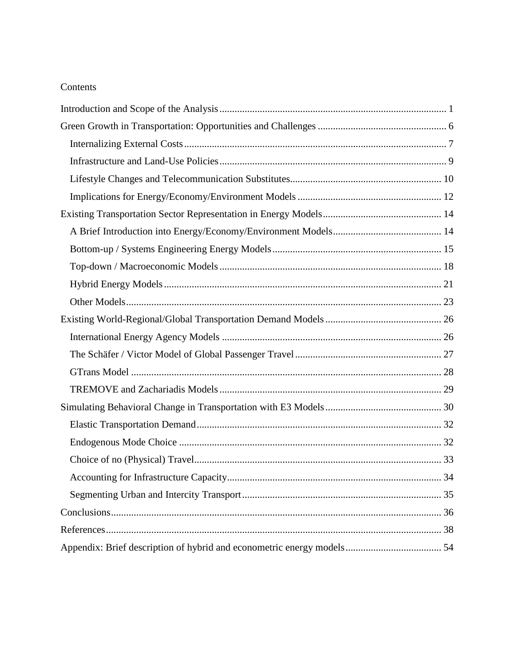# Contents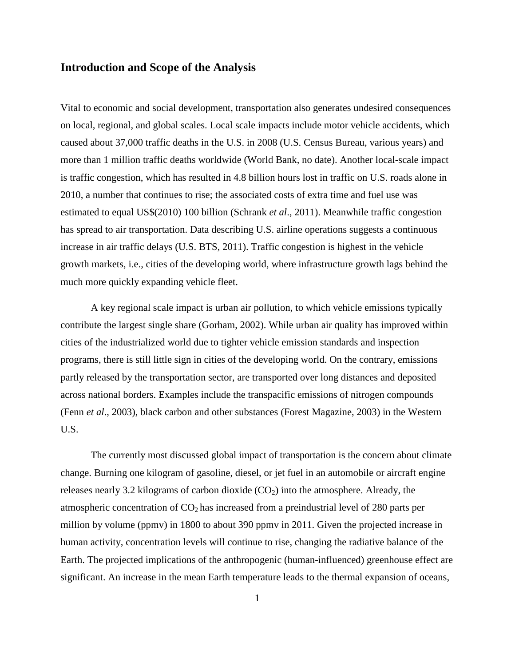# <span id="page-4-0"></span>**Introduction and Scope of the Analysis**

Vital to economic and social development, transportation also generates undesired consequences on local, regional, and global scales. Local scale impacts include motor vehicle accidents, which caused about 37,000 traffic deaths in the U.S. in 2008 (U.S. Census Bureau, various years) and more than 1 million traffic deaths worldwide (World Bank, no date). Another local-scale impact is traffic congestion, which has resulted in 4.8 billion hours lost in traffic on U.S. roads alone in 2010, a number that continues to rise; the associated costs of extra time and fuel use was estimated to equal US\$(2010) 100 billion (Schrank *et al*., 2011). Meanwhile traffic congestion has spread to air transportation. Data describing U.S. airline operations suggests a continuous increase in air traffic delays (U.S. BTS, 2011). Traffic congestion is highest in the vehicle growth markets, i.e., cities of the developing world, where infrastructure growth lags behind the much more quickly expanding vehicle fleet.

 A key regional scale impact is urban air pollution, to which vehicle emissions typically contribute the largest single share (Gorham, 2002). While urban air quality has improved within cities of the industrialized world due to tighter vehicle emission standards and inspection programs, there is still little sign in cities of the developing world. On the contrary, emissions partly released by the transportation sector, are transported over long distances and deposited across national borders. Examples include the transpacific emissions of nitrogen compounds (Fenn *et al*., 2003), black carbon and other substances (Forest Magazine, 2003) in the Western U.S.

 The currently most discussed global impact of transportation is the concern about climate change. Burning one kilogram of gasoline, diesel, or jet fuel in an automobile or aircraft engine releases nearly 3.2 kilograms of carbon dioxide  $(CO<sub>2</sub>)$  into the atmosphere. Already, the atmospheric concentration of  $CO<sub>2</sub>$  has increased from a preindustrial level of 280 parts per million by volume (ppmv) in 1800 to about 390 ppmv in 2011. Given the projected increase in human activity, concentration levels will continue to rise, changing the radiative balance of the Earth. The projected implications of the anthropogenic (human-influenced) greenhouse effect are significant. An increase in the mean Earth temperature leads to the thermal expansion of oceans,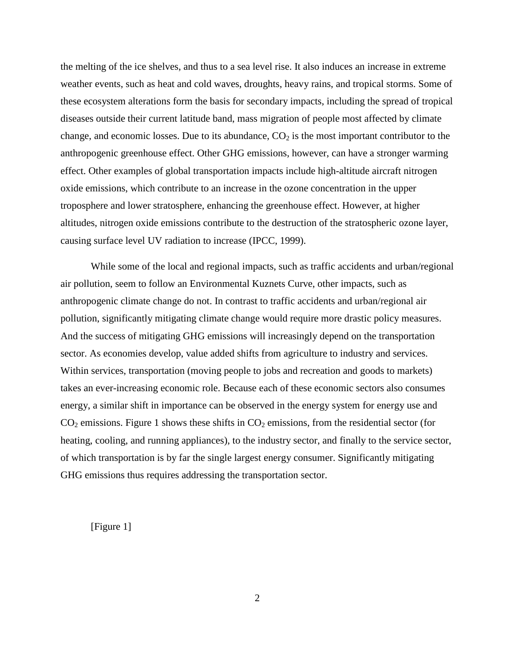the melting of the ice shelves, and thus to a sea level rise. It also induces an increase in extreme weather events, such as heat and cold waves, droughts, heavy rains, and tropical storms. Some of these ecosystem alterations form the basis for secondary impacts, including the spread of tropical diseases outside their current latitude band, mass migration of people most affected by climate change, and economic losses. Due to its abundance,  $CO<sub>2</sub>$  is the most important contributor to the anthropogenic greenhouse effect. Other GHG emissions, however, can have a stronger warming effect. Other examples of global transportation impacts include high-altitude aircraft nitrogen oxide emissions, which contribute to an increase in the ozone concentration in the upper troposphere and lower stratosphere, enhancing the greenhouse effect. However, at higher altitudes, nitrogen oxide emissions contribute to the destruction of the stratospheric ozone layer, causing surface level UV radiation to increase (IPCC, 1999).

While some of the local and regional impacts, such as traffic accidents and urban/regional air pollution, seem to follow an Environmental Kuznets Curve, other impacts, such as anthropogenic climate change do not. In contrast to traffic accidents and urban/regional air pollution, significantly mitigating climate change would require more drastic policy measures. And the success of mitigating GHG emissions will increasingly depend on the transportation sector. As economies develop, value added shifts from agriculture to industry and services. Within services, transportation (moving people to jobs and recreation and goods to markets) takes an ever-increasing economic role. Because each of these economic sectors also consumes energy, a similar shift in importance can be observed in the energy system for energy use and  $CO<sub>2</sub>$  emissions. Figure 1 shows these shifts in  $CO<sub>2</sub>$  emissions, from the residential sector (for heating, cooling, and running appliances), to the industry sector, and finally to the service sector, of which transportation is by far the single largest energy consumer. Significantly mitigating GHG emissions thus requires addressing the transportation sector.

[Figure 1]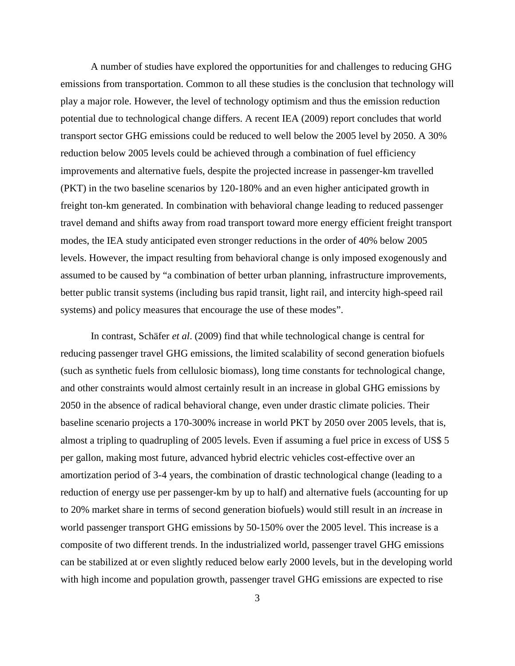A number of studies have explored the opportunities for and challenges to reducing GHG emissions from transportation. Common to all these studies is the conclusion that technology will play a major role. However, the level of technology optimism and thus the emission reduction potential due to technological change differs. A recent IEA (2009) report concludes that world transport sector GHG emissions could be reduced to well below the 2005 level by 2050. A 30% reduction below 2005 levels could be achieved through a combination of fuel efficiency improvements and alternative fuels, despite the projected increase in passenger-km travelled (PKT) in the two baseline scenarios by 120-180% and an even higher anticipated growth in freight ton-km generated. In combination with behavioral change leading to reduced passenger travel demand and shifts away from road transport toward more energy efficient freight transport modes, the IEA study anticipated even stronger reductions in the order of 40% below 2005 levels. However, the impact resulting from behavioral change is only imposed exogenously and assumed to be caused by "a combination of better urban planning, infrastructure improvements, better public transit systems (including bus rapid transit, light rail, and intercity high-speed rail systems) and policy measures that encourage the use of these modes".

 In contrast, Schäfer *et al*. (2009) find that while technological change is central for reducing passenger travel GHG emissions, the limited scalability of second generation biofuels (such as synthetic fuels from cellulosic biomass), long time constants for technological change, and other constraints would almost certainly result in an increase in global GHG emissions by 2050 in the absence of radical behavioral change, even under drastic climate policies. Their baseline scenario projects a 170-300% increase in world PKT by 2050 over 2005 levels, that is, almost a tripling to quadrupling of 2005 levels. Even if assuming a fuel price in excess of US\$ 5 per gallon, making most future, advanced hybrid electric vehicles cost-effective over an amortization period of 3-4 years, the combination of drastic technological change (leading to a reduction of energy use per passenger-km by up to half) and alternative fuels (accounting for up to 20% market share in terms of second generation biofuels) would still result in an *in*crease in world passenger transport GHG emissions by 50-150% over the 2005 level. This increase is a composite of two different trends. In the industrialized world, passenger travel GHG emissions can be stabilized at or even slightly reduced below early 2000 levels, but in the developing world with high income and population growth, passenger travel GHG emissions are expected to rise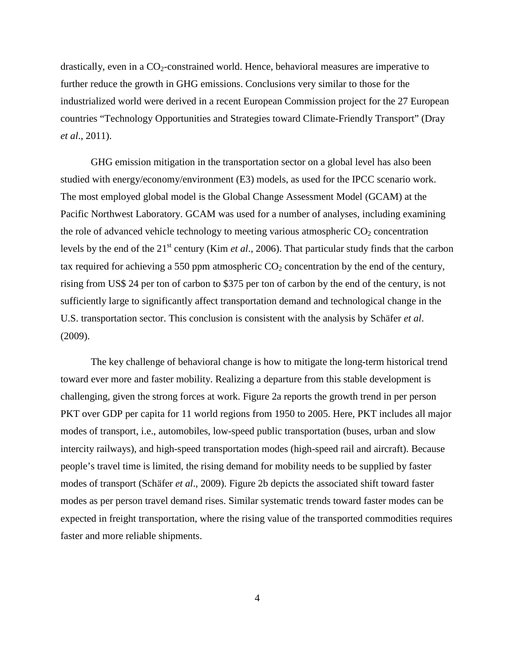drastically, even in a  $CO<sub>2</sub>$ -constrained world. Hence, behavioral measures are imperative to further reduce the growth in GHG emissions. Conclusions very similar to those for the industrialized world were derived in a recent European Commission project for the 27 European countries "Technology Opportunities and Strategies toward Climate-Friendly Transport" (Dray *et al*., 2011).

GHG emission mitigation in the transportation sector on a global level has also been studied with energy/economy/environment (E3) models, as used for the IPCC scenario work. The most employed global model is the Global Change Assessment Model (GCAM) at the Pacific Northwest Laboratory. GCAM was used for a number of analyses, including examining the role of advanced vehicle technology to meeting various atmospheric  $CO<sub>2</sub>$  concentration levels by the end of the 21st century (Kim *et al*., 2006). That particular study finds that the carbon tax required for achieving a 550 ppm atmospheric  $CO<sub>2</sub>$  concentration by the end of the century, rising from US\$ 24 per ton of carbon to \$375 per ton of carbon by the end of the century, is not sufficiently large to significantly affect transportation demand and technological change in the U.S. transportation sector. This conclusion is consistent with the analysis by Schäfer *et al*. (2009).

The key challenge of behavioral change is how to mitigate the long-term historical trend toward ever more and faster mobility. Realizing a departure from this stable development is challenging, given the strong forces at work. Figure 2a reports the growth trend in per person PKT over GDP per capita for 11 world regions from 1950 to 2005. Here, PKT includes all major modes of transport, i.e., automobiles, low-speed public transportation (buses, urban and slow intercity railways), and high-speed transportation modes (high-speed rail and aircraft). Because people's travel time is limited, the rising demand for mobility needs to be supplied by faster modes of transport (Schäfer *et al*., 2009). Figure 2b depicts the associated shift toward faster modes as per person travel demand rises. Similar systematic trends toward faster modes can be expected in freight transportation, where the rising value of the transported commodities requires faster and more reliable shipments.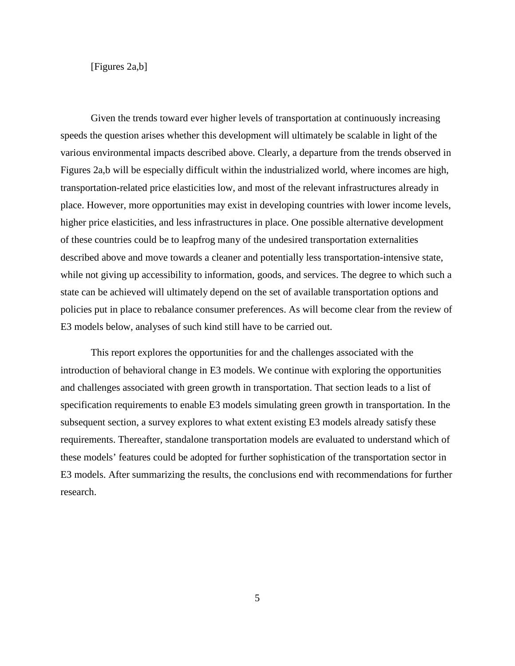[Figures 2a,b]

 Given the trends toward ever higher levels of transportation at continuously increasing speeds the question arises whether this development will ultimately be scalable in light of the various environmental impacts described above. Clearly, a departure from the trends observed in Figures 2a,b will be especially difficult within the industrialized world, where incomes are high, transportation-related price elasticities low, and most of the relevant infrastructures already in place. However, more opportunities may exist in developing countries with lower income levels, higher price elasticities, and less infrastructures in place. One possible alternative development of these countries could be to leapfrog many of the undesired transportation externalities described above and move towards a cleaner and potentially less transportation-intensive state, while not giving up accessibility to information, goods, and services. The degree to which such a state can be achieved will ultimately depend on the set of available transportation options and policies put in place to rebalance consumer preferences. As will become clear from the review of E3 models below, analyses of such kind still have to be carried out.

 This report explores the opportunities for and the challenges associated with the introduction of behavioral change in E3 models. We continue with exploring the opportunities and challenges associated with green growth in transportation. That section leads to a list of specification requirements to enable E3 models simulating green growth in transportation. In the subsequent section, a survey explores to what extent existing E3 models already satisfy these requirements. Thereafter, standalone transportation models are evaluated to understand which of these models' features could be adopted for further sophistication of the transportation sector in E3 models. After summarizing the results, the conclusions end with recommendations for further research.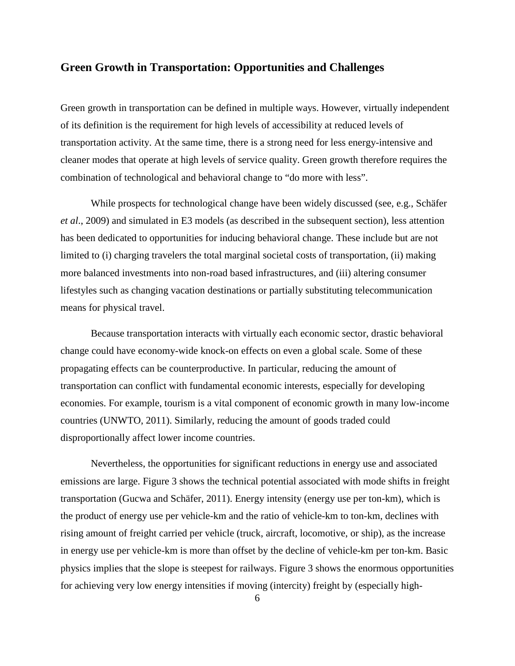# <span id="page-9-0"></span>**Green Growth in Transportation: Opportunities and Challenges**

Green growth in transportation can be defined in multiple ways. However, virtually independent of its definition is the requirement for high levels of accessibility at reduced levels of transportation activity. At the same time, there is a strong need for less energy-intensive and cleaner modes that operate at high levels of service quality. Green growth therefore requires the combination of technological and behavioral change to "do more with less".

While prospects for technological change have been widely discussed (see, e.g., Schäfer *et al*., 2009) and simulated in E3 models (as described in the subsequent section), less attention has been dedicated to opportunities for inducing behavioral change. These include but are not limited to (i) charging travelers the total marginal societal costs of transportation, (ii) making more balanced investments into non-road based infrastructures, and (iii) altering consumer lifestyles such as changing vacation destinations or partially substituting telecommunication means for physical travel.

 Because transportation interacts with virtually each economic sector, drastic behavioral change could have economy-wide knock-on effects on even a global scale. Some of these propagating effects can be counterproductive. In particular, reducing the amount of transportation can conflict with fundamental economic interests, especially for developing economies. For example, tourism is a vital component of economic growth in many low-income countries (UNWTO, 2011). Similarly, reducing the amount of goods traded could disproportionally affect lower income countries.

 Nevertheless, the opportunities for significant reductions in energy use and associated emissions are large. Figure 3 shows the technical potential associated with mode shifts in freight transportation (Gucwa and Schäfer, 2011). Energy intensity (energy use per ton-km), which is the product of energy use per vehicle-km and the ratio of vehicle-km to ton-km, declines with rising amount of freight carried per vehicle (truck, aircraft, locomotive, or ship), as the increase in energy use per vehicle-km is more than offset by the decline of vehicle-km per ton-km. Basic physics implies that the slope is steepest for railways. Figure 3 shows the enormous opportunities for achieving very low energy intensities if moving (intercity) freight by (especially high-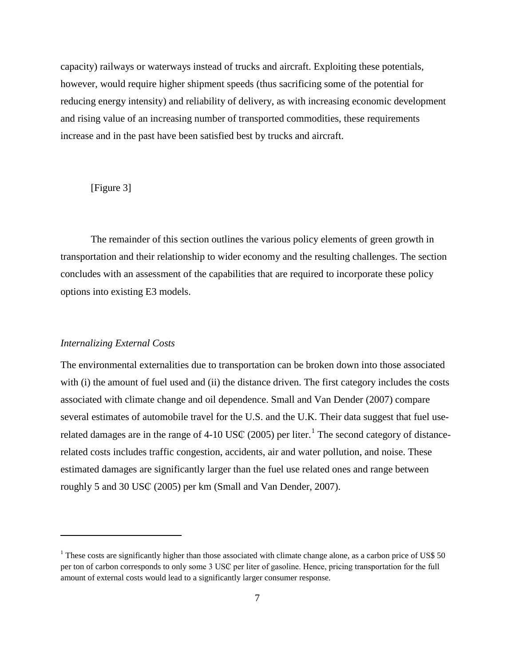capacity) railways or waterways instead of trucks and aircraft. Exploiting these potentials, however, would require higher shipment speeds (thus sacrificing some of the potential for reducing energy intensity) and reliability of delivery, as with increasing economic development and rising value of an increasing number of transported commodities, these requirements increase and in the past have been satisfied best by trucks and aircraft.

# [Figure 3]

 The remainder of this section outlines the various policy elements of green growth in transportation and their relationship to wider economy and the resulting challenges. The section concludes with an assessment of the capabilities that are required to incorporate these policy options into existing E3 models.

# <span id="page-10-0"></span>*Internalizing External Costs*

 $\overline{a}$ 

The environmental externalities due to transportation can be broken down into those associated with (i) the amount of fuel used and (ii) the distance driven. The first category includes the costs associated with climate change and oil dependence. Small and Van Dender (2007) compare several estimates of automobile travel for the U.S. and the U.K. Their data suggest that fuel use-related damages are in the range of 4-[1](#page-10-1)0 US $\mathbb C$  (2005) per liter.<sup>1</sup> The second category of distancerelated costs includes traffic congestion, accidents, air and water pollution, and noise. These estimated damages are significantly larger than the fuel use related ones and range between roughly 5 and 30 US₵ (2005) per km (Small and Van Dender, 2007).

<span id="page-10-1"></span> $1$  These costs are significantly higher than those associated with climate change alone, as a carbon price of US\$ 50 per ton of carbon corresponds to only some 3 US₵ per liter of gasoline. Hence, pricing transportation for the full amount of external costs would lead to a significantly larger consumer response.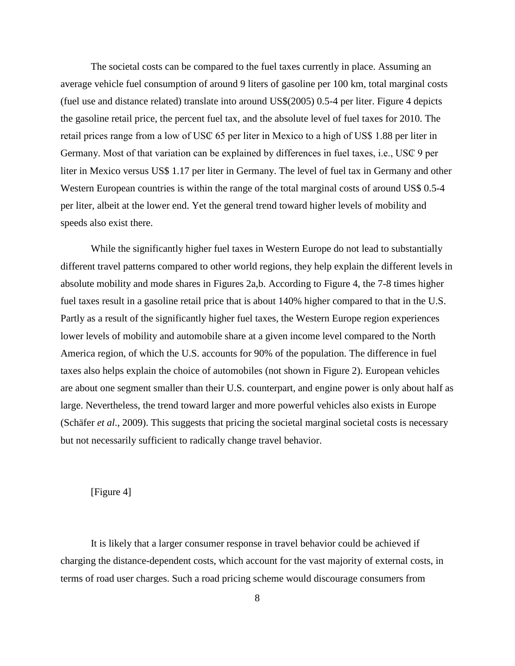The societal costs can be compared to the fuel taxes currently in place. Assuming an average vehicle fuel consumption of around 9 liters of gasoline per 100 km, total marginal costs (fuel use and distance related) translate into around US\$(2005) 0.5-4 per liter. Figure 4 depicts the gasoline retail price, the percent fuel tax, and the absolute level of fuel taxes for 2010. The retail prices range from a low of US₵ 65 per liter in Mexico to a high of US\$ 1.88 per liter in Germany. Most of that variation can be explained by differences in fuel taxes, i.e., USC 9 per liter in Mexico versus US\$ 1.17 per liter in Germany. The level of fuel tax in Germany and other Western European countries is within the range of the total marginal costs of around US\$ 0.5-4 per liter, albeit at the lower end. Yet the general trend toward higher levels of mobility and speeds also exist there.

 While the significantly higher fuel taxes in Western Europe do not lead to substantially different travel patterns compared to other world regions, they help explain the different levels in absolute mobility and mode shares in Figures 2a,b. According to Figure 4, the 7-8 times higher fuel taxes result in a gasoline retail price that is about 140% higher compared to that in the U.S. Partly as a result of the significantly higher fuel taxes, the Western Europe region experiences lower levels of mobility and automobile share at a given income level compared to the North America region, of which the U.S. accounts for 90% of the population. The difference in fuel taxes also helps explain the choice of automobiles (not shown in Figure 2). European vehicles are about one segment smaller than their U.S. counterpart, and engine power is only about half as large. Nevertheless, the trend toward larger and more powerful vehicles also exists in Europe (Schäfer *et al*., 2009). This suggests that pricing the societal marginal societal costs is necessary but not necessarily sufficient to radically change travel behavior.

# [Figure 4]

It is likely that a larger consumer response in travel behavior could be achieved if charging the distance-dependent costs, which account for the vast majority of external costs, in terms of road user charges. Such a road pricing scheme would discourage consumers from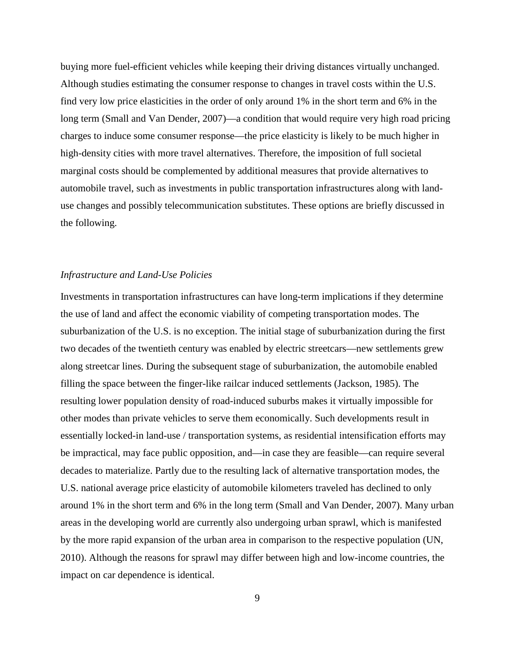buying more fuel-efficient vehicles while keeping their driving distances virtually unchanged. Although studies estimating the consumer response to changes in travel costs within the U.S. find very low price elasticities in the order of only around 1% in the short term and 6% in the long term (Small and Van Dender, 2007)—a condition that would require very high road pricing charges to induce some consumer response—the price elasticity is likely to be much higher in high-density cities with more travel alternatives. Therefore, the imposition of full societal marginal costs should be complemented by additional measures that provide alternatives to automobile travel, such as investments in public transportation infrastructures along with landuse changes and possibly telecommunication substitutes. These options are briefly discussed in the following.

# <span id="page-12-0"></span>*Infrastructure and Land-Use Policies*

Investments in transportation infrastructures can have long-term implications if they determine the use of land and affect the economic viability of competing transportation modes. The suburbanization of the U.S. is no exception. The initial stage of suburbanization during the first two decades of the twentieth century was enabled by electric streetcars—new settlements grew along streetcar lines. During the subsequent stage of suburbanization, the automobile enabled filling the space between the finger-like railcar induced settlements (Jackson, 1985). The resulting lower population density of road-induced suburbs makes it virtually impossible for other modes than private vehicles to serve them economically. Such developments result in essentially locked-in land-use / transportation systems, as residential intensification efforts may be impractical, may face public opposition, and—in case they are feasible—can require several decades to materialize. Partly due to the resulting lack of alternative transportation modes, the U.S. national average price elasticity of automobile kilometers traveled has declined to only around 1% in the short term and 6% in the long term (Small and Van Dender, 2007). Many urban areas in the developing world are currently also undergoing urban sprawl, which is manifested by the more rapid expansion of the urban area in comparison to the respective population (UN, 2010). Although the reasons for sprawl may differ between high and low-income countries, the impact on car dependence is identical.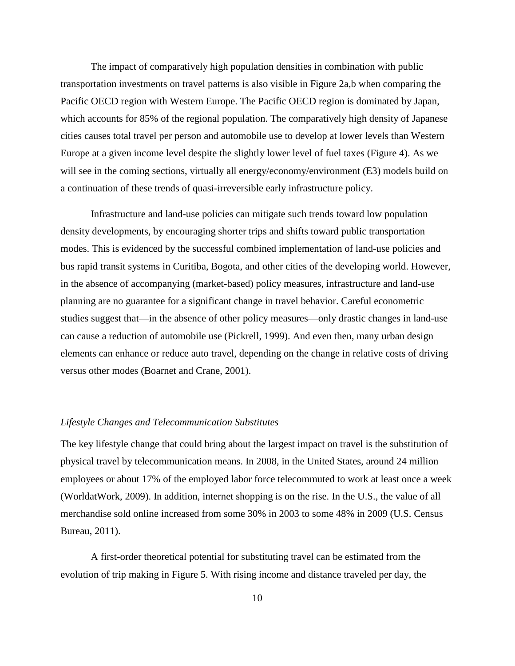The impact of comparatively high population densities in combination with public transportation investments on travel patterns is also visible in Figure 2a,b when comparing the Pacific OECD region with Western Europe. The Pacific OECD region is dominated by Japan, which accounts for 85% of the regional population. The comparatively high density of Japanese cities causes total travel per person and automobile use to develop at lower levels than Western Europe at a given income level despite the slightly lower level of fuel taxes (Figure 4). As we will see in the coming sections, virtually all energy/economy/environment (E3) models build on a continuation of these trends of quasi-irreversible early infrastructure policy.

Infrastructure and land-use policies can mitigate such trends toward low population density developments, by encouraging shorter trips and shifts toward public transportation modes. This is evidenced by the successful combined implementation of land-use policies and bus rapid transit systems in Curitiba, Bogota, and other cities of the developing world. However, in the absence of accompanying (market-based) policy measures, infrastructure and land-use planning are no guarantee for a significant change in travel behavior. Careful econometric studies suggest that—in the absence of other policy measures—only drastic changes in land-use can cause a reduction of automobile use (Pickrell, 1999). And even then, many urban design elements can enhance or reduce auto travel, depending on the change in relative costs of driving versus other modes (Boarnet and Crane, 2001).

# <span id="page-13-0"></span>*Lifestyle Changes and Telecommunication Substitutes*

The key lifestyle change that could bring about the largest impact on travel is the substitution of physical travel by telecommunication means. In 2008, in the United States, around 24 million employees or about 17% of the employed labor force telecommuted to work at least once a week (WorldatWork, 2009). In addition, internet shopping is on the rise. In the U.S., the value of all merchandise sold online increased from some 30% in 2003 to some 48% in 2009 (U.S. Census Bureau, 2011).

A first-order theoretical potential for substituting travel can be estimated from the evolution of trip making in Figure 5. With rising income and distance traveled per day, the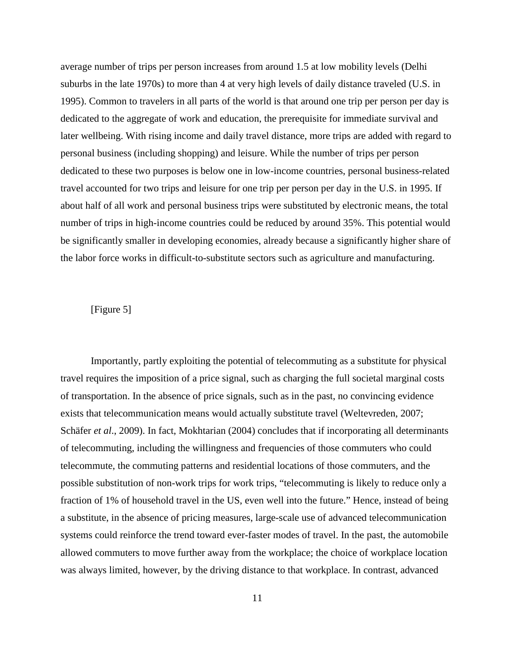average number of trips per person increases from around 1.5 at low mobility levels (Delhi suburbs in the late 1970s) to more than 4 at very high levels of daily distance traveled (U.S. in 1995). Common to travelers in all parts of the world is that around one trip per person per day is dedicated to the aggregate of work and education, the prerequisite for immediate survival and later wellbeing. With rising income and daily travel distance, more trips are added with regard to personal business (including shopping) and leisure. While the number of trips per person dedicated to these two purposes is below one in low-income countries, personal business-related travel accounted for two trips and leisure for one trip per person per day in the U.S. in 1995. If about half of all work and personal business trips were substituted by electronic means, the total number of trips in high-income countries could be reduced by around 35%. This potential would be significantly smaller in developing economies, already because a significantly higher share of the labor force works in difficult-to-substitute sectors such as agriculture and manufacturing.

# [Figure 5]

Importantly, partly exploiting the potential of telecommuting as a substitute for physical travel requires the imposition of a price signal, such as charging the full societal marginal costs of transportation. In the absence of price signals, such as in the past, no convincing evidence exists that telecommunication means would actually substitute travel (Weltevreden, 2007; Schäfer *et al*., 2009). In fact, Mokhtarian (2004) concludes that if incorporating all determinants of telecommuting, including the willingness and frequencies of those commuters who could telecommute, the commuting patterns and residential locations of those commuters, and the possible substitution of non-work trips for work trips, "telecommuting is likely to reduce only a fraction of 1% of household travel in the US, even well into the future." Hence, instead of being a substitute, in the absence of pricing measures, large-scale use of advanced telecommunication systems could reinforce the trend toward ever-faster modes of travel. In the past, the automobile allowed commuters to move further away from the workplace; the choice of workplace location was always limited, however, by the driving distance to that workplace. In contrast, advanced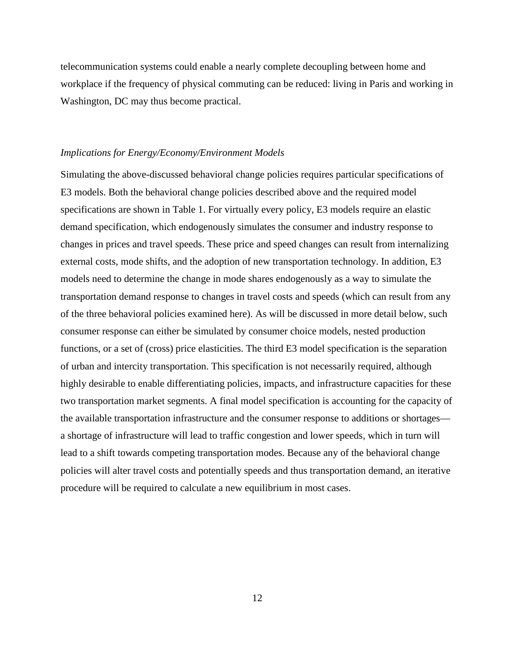telecommunication systems could enable a nearly complete decoupling between home and workplace if the frequency of physical commuting can be reduced: living in Paris and working in Washington, DC may thus become practical.

# <span id="page-15-0"></span>*Implications for Energy/Economy/Environment Models*

Simulating the above-discussed behavioral change policies requires particular specifications of E3 models. Both the behavioral change policies described above and the required model specifications are shown in Table 1. For virtually every policy, E3 models require an elastic demand specification, which endogenously simulates the consumer and industry response to changes in prices and travel speeds. These price and speed changes can result from internalizing external costs, mode shifts, and the adoption of new transportation technology. In addition, E3 models need to determine the change in mode shares endogenously as a way to simulate the transportation demand response to changes in travel costs and speeds (which can result from any of the three behavioral policies examined here). As will be discussed in more detail below, such consumer response can either be simulated by consumer choice models, nested production functions, or a set of (cross) price elasticities. The third E3 model specification is the separation of urban and intercity transportation. This specification is not necessarily required, although highly desirable to enable differentiating policies, impacts, and infrastructure capacities for these two transportation market segments. A final model specification is accounting for the capacity of the available transportation infrastructure and the consumer response to additions or shortages a shortage of infrastructure will lead to traffic congestion and lower speeds, which in turn will lead to a shift towards competing transportation modes. Because any of the behavioral change policies will alter travel costs and potentially speeds and thus transportation demand, an iterative procedure will be required to calculate a new equilibrium in most cases.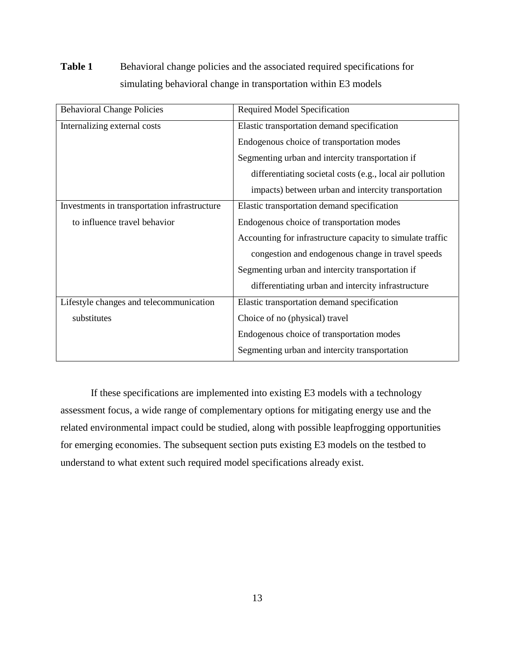# **Table 1** Behavioral change policies and the associated required specifications for simulating behavioral change in transportation within E3 models

| <b>Behavioral Change Policies</b>            | Required Model Specification                               |
|----------------------------------------------|------------------------------------------------------------|
| Internalizing external costs                 | Elastic transportation demand specification                |
|                                              | Endogenous choice of transportation modes                  |
|                                              | Segmenting urban and intercity transportation if           |
|                                              | differentiating societal costs (e.g., local air pollution  |
|                                              | impacts) between urban and intercity transportation        |
| Investments in transportation infrastructure | Elastic transportation demand specification                |
| to influence travel behavior                 | Endogenous choice of transportation modes                  |
|                                              | Accounting for infrastructure capacity to simulate traffic |
|                                              | congestion and endogenous change in travel speeds          |
|                                              | Segmenting urban and intercity transportation if           |
|                                              | differentiating urban and intercity infrastructure         |
| Lifestyle changes and telecommunication      | Elastic transportation demand specification                |
| substitutes                                  | Choice of no (physical) travel                             |
|                                              | Endogenous choice of transportation modes                  |
|                                              | Segmenting urban and intercity transportation              |

If these specifications are implemented into existing E3 models with a technology assessment focus, a wide range of complementary options for mitigating energy use and the related environmental impact could be studied, along with possible leapfrogging opportunities for emerging economies. The subsequent section puts existing E3 models on the testbed to understand to what extent such required model specifications already exist.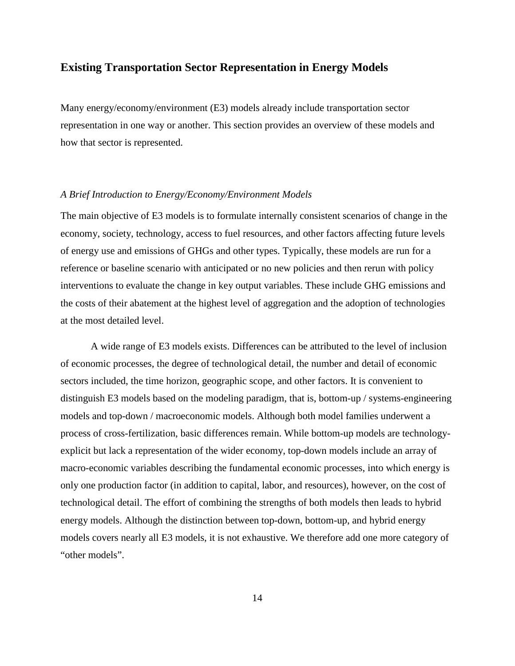# <span id="page-17-0"></span>**Existing Transportation Sector Representation in Energy Models**

Many energy/economy/environment (E3) models already include transportation sector representation in one way or another. This section provides an overview of these models and how that sector is represented.

# <span id="page-17-1"></span>*A Brief Introduction to Energy/Economy/Environment Models*

The main objective of E3 models is to formulate internally consistent scenarios of change in the economy, society, technology, access to fuel resources, and other factors affecting future levels of energy use and emissions of GHGs and other types. Typically, these models are run for a reference or baseline scenario with anticipated or no new policies and then rerun with policy interventions to evaluate the change in key output variables. These include GHG emissions and the costs of their abatement at the highest level of aggregation and the adoption of technologies at the most detailed level.

A wide range of E3 models exists. Differences can be attributed to the level of inclusion of economic processes, the degree of technological detail, the number and detail of economic sectors included, the time horizon, geographic scope, and other factors. It is convenient to distinguish E3 models based on the modeling paradigm, that is, bottom-up / systems-engineering models and top-down / macroeconomic models. Although both model families underwent a process of cross-fertilization, basic differences remain. While bottom-up models are technologyexplicit but lack a representation of the wider economy, top-down models include an array of macro-economic variables describing the fundamental economic processes, into which energy is only one production factor (in addition to capital, labor, and resources), however, on the cost of technological detail. The effort of combining the strengths of both models then leads to hybrid energy models. Although the distinction between top-down, bottom-up, and hybrid energy models covers nearly all E3 models, it is not exhaustive. We therefore add one more category of "other models".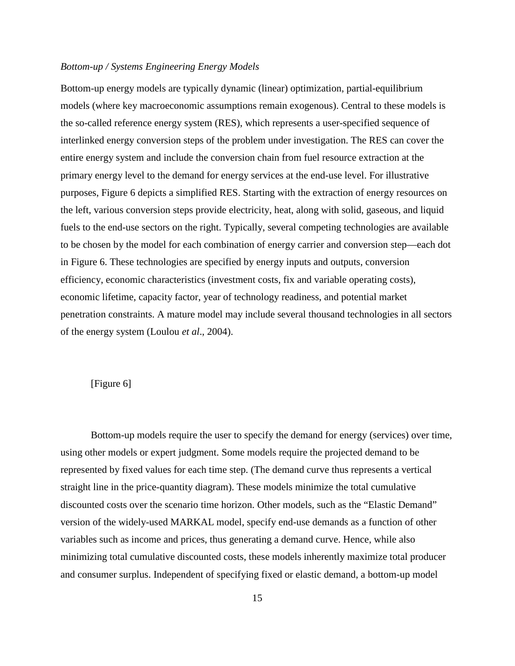# <span id="page-18-0"></span>*Bottom-up / Systems Engineering Energy Models*

Bottom-up energy models are typically dynamic (linear) optimization, partial-equilibrium models (where key macroeconomic assumptions remain exogenous). Central to these models is the so-called reference energy system (RES), which represents a user-specified sequence of interlinked energy conversion steps of the problem under investigation. The RES can cover the entire energy system and include the conversion chain from fuel resource extraction at the primary energy level to the demand for energy services at the end-use level. For illustrative purposes, Figure 6 depicts a simplified RES. Starting with the extraction of energy resources on the left, various conversion steps provide electricity, heat, along with solid, gaseous, and liquid fuels to the end-use sectors on the right. Typically, several competing technologies are available to be chosen by the model for each combination of energy carrier and conversion step—each dot in Figure 6. These technologies are specified by energy inputs and outputs, conversion efficiency, economic characteristics (investment costs, fix and variable operating costs), economic lifetime, capacity factor, year of technology readiness, and potential market penetration constraints. A mature model may include several thousand technologies in all sectors of the energy system (Loulou *et al*., 2004).

# [Figure 6]

 Bottom-up models require the user to specify the demand for energy (services) over time, using other models or expert judgment. Some models require the projected demand to be represented by fixed values for each time step. (The demand curve thus represents a vertical straight line in the price-quantity diagram). These models minimize the total cumulative discounted costs over the scenario time horizon. Other models, such as the "Elastic Demand" version of the widely-used MARKAL model, specify end-use demands as a function of other variables such as income and prices, thus generating a demand curve. Hence, while also minimizing total cumulative discounted costs, these models inherently maximize total producer and consumer surplus. Independent of specifying fixed or elastic demand, a bottom-up model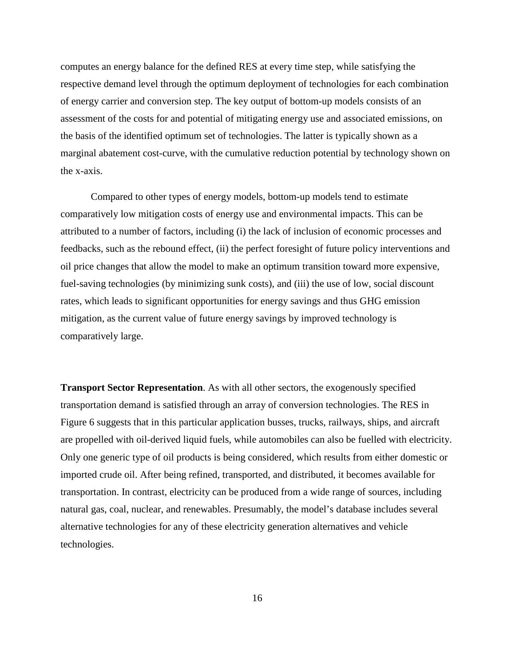computes an energy balance for the defined RES at every time step, while satisfying the respective demand level through the optimum deployment of technologies for each combination of energy carrier and conversion step. The key output of bottom-up models consists of an assessment of the costs for and potential of mitigating energy use and associated emissions, on the basis of the identified optimum set of technologies. The latter is typically shown as a marginal abatement cost-curve, with the cumulative reduction potential by technology shown on the x-axis.

 Compared to other types of energy models, bottom-up models tend to estimate comparatively low mitigation costs of energy use and environmental impacts. This can be attributed to a number of factors, including (i) the lack of inclusion of economic processes and feedbacks, such as the rebound effect, (ii) the perfect foresight of future policy interventions and oil price changes that allow the model to make an optimum transition toward more expensive, fuel-saving technologies (by minimizing sunk costs), and (iii) the use of low, social discount rates, which leads to significant opportunities for energy savings and thus GHG emission mitigation, as the current value of future energy savings by improved technology is comparatively large.

**Transport Sector Representation**. As with all other sectors, the exogenously specified transportation demand is satisfied through an array of conversion technologies. The RES in Figure 6 suggests that in this particular application busses, trucks, railways, ships, and aircraft are propelled with oil-derived liquid fuels, while automobiles can also be fuelled with electricity. Only one generic type of oil products is being considered, which results from either domestic or imported crude oil. After being refined, transported, and distributed, it becomes available for transportation. In contrast, electricity can be produced from a wide range of sources, including natural gas, coal, nuclear, and renewables. Presumably, the model's database includes several alternative technologies for any of these electricity generation alternatives and vehicle technologies.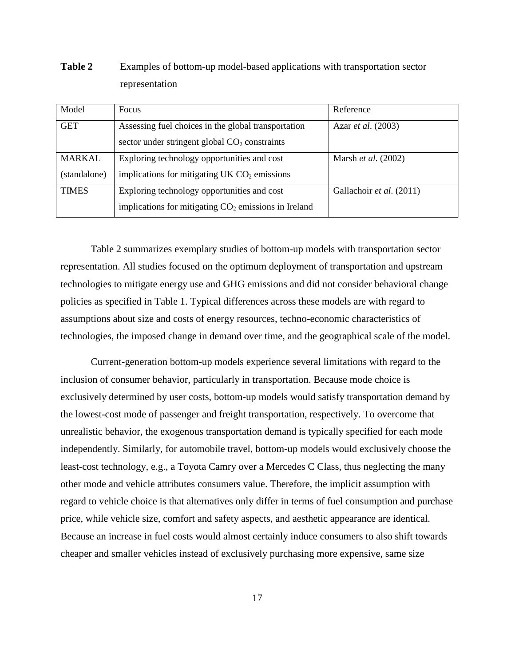| Model         | <b>Focus</b>                                           | Reference                    |
|---------------|--------------------------------------------------------|------------------------------|
|               |                                                        |                              |
| <b>GET</b>    | Assessing fuel choices in the global transportation    | Azar <i>et al.</i> (2003)    |
|               |                                                        |                              |
|               | sector under stringent global $CO2$ constraints        |                              |
| <b>MARKAL</b> | Exploring technology opportunities and cost            | Marsh <i>et al.</i> $(2002)$ |
|               |                                                        |                              |
| (standalone)  | implications for mitigating UK $CO2$ emissions         |                              |
|               |                                                        |                              |
| <b>TIMES</b>  | Exploring technology opportunities and cost            | Gallachoir et al. (2011)     |
|               |                                                        |                              |
|               | implications for mitigating $CO2$ emissions in Ireland |                              |
|               |                                                        |                              |

**Table 2** Examples of bottom-up model-based applications with transportation sector representation

 Table 2 summarizes exemplary studies of bottom-up models with transportation sector representation. All studies focused on the optimum deployment of transportation and upstream technologies to mitigate energy use and GHG emissions and did not consider behavioral change policies as specified in Table 1. Typical differences across these models are with regard to assumptions about size and costs of energy resources, techno-economic characteristics of technologies, the imposed change in demand over time, and the geographical scale of the model.

Current-generation bottom-up models experience several limitations with regard to the inclusion of consumer behavior, particularly in transportation. Because mode choice is exclusively determined by user costs, bottom-up models would satisfy transportation demand by the lowest-cost mode of passenger and freight transportation, respectively. To overcome that unrealistic behavior, the exogenous transportation demand is typically specified for each mode independently. Similarly, for automobile travel, bottom-up models would exclusively choose the least-cost technology, e.g., a Toyota Camry over a Mercedes C Class, thus neglecting the many other mode and vehicle attributes consumers value. Therefore, the implicit assumption with regard to vehicle choice is that alternatives only differ in terms of fuel consumption and purchase price, while vehicle size, comfort and safety aspects, and aesthetic appearance are identical. Because an increase in fuel costs would almost certainly induce consumers to also shift towards cheaper and smaller vehicles instead of exclusively purchasing more expensive, same size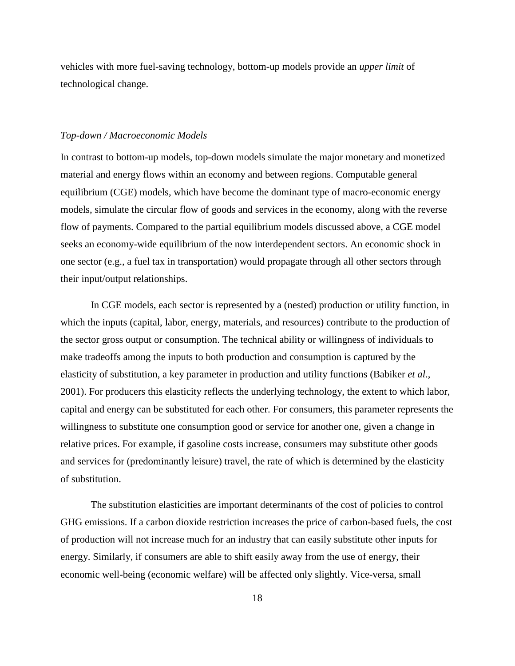vehicles with more fuel-saving technology, bottom-up models provide an *upper limit* of technological change.

# <span id="page-21-0"></span>*Top-down / Macroeconomic Models*

In contrast to bottom-up models, top-down models simulate the major monetary and monetized material and energy flows within an economy and between regions. Computable general equilibrium (CGE) models, which have become the dominant type of macro-economic energy models, simulate the circular flow of goods and services in the economy, along with the reverse flow of payments. Compared to the partial equilibrium models discussed above, a CGE model seeks an economy-wide equilibrium of the now interdependent sectors. An economic shock in one sector (e.g., a fuel tax in transportation) would propagate through all other sectors through their input/output relationships.

In CGE models, each sector is represented by a (nested) production or utility function, in which the inputs (capital, labor, energy, materials, and resources) contribute to the production of the sector gross output or consumption. The technical ability or willingness of individuals to make tradeoffs among the inputs to both production and consumption is captured by the elasticity of substitution, a key parameter in production and utility functions (Babiker *et al*., 2001). For producers this elasticity reflects the underlying technology, the extent to which labor, capital and energy can be substituted for each other. For consumers, this parameter represents the willingness to substitute one consumption good or service for another one, given a change in relative prices. For example, if gasoline costs increase, consumers may substitute other goods and services for (predominantly leisure) travel, the rate of which is determined by the elasticity of substitution.

The substitution elasticities are important determinants of the cost of policies to control GHG emissions. If a carbon dioxide restriction increases the price of carbon-based fuels, the cost of production will not increase much for an industry that can easily substitute other inputs for energy. Similarly, if consumers are able to shift easily away from the use of energy, their economic well-being (economic welfare) will be affected only slightly. Vice-versa, small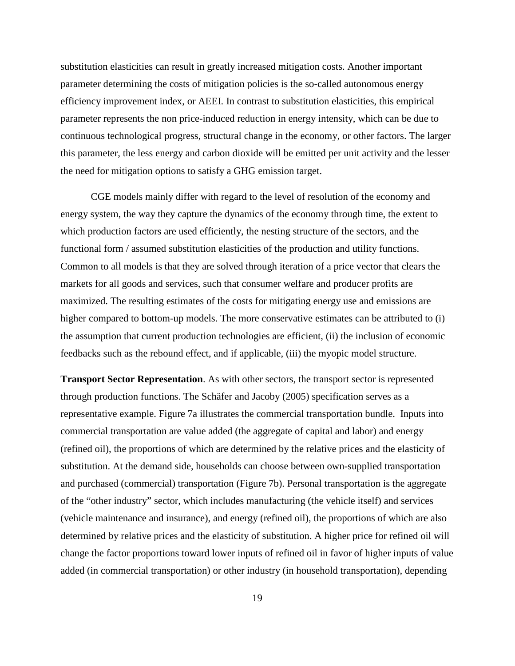substitution elasticities can result in greatly increased mitigation costs. Another important parameter determining the costs of mitigation policies is the so-called autonomous energy efficiency improvement index, or AEEI. In contrast to substitution elasticities, this empirical parameter represents the non price-induced reduction in energy intensity, which can be due to continuous technological progress, structural change in the economy, or other factors. The larger this parameter, the less energy and carbon dioxide will be emitted per unit activity and the lesser the need for mitigation options to satisfy a GHG emission target.

 CGE models mainly differ with regard to the level of resolution of the economy and energy system, the way they capture the dynamics of the economy through time, the extent to which production factors are used efficiently, the nesting structure of the sectors, and the functional form / assumed substitution elasticities of the production and utility functions. Common to all models is that they are solved through iteration of a price vector that clears the markets for all goods and services, such that consumer welfare and producer profits are maximized. The resulting estimates of the costs for mitigating energy use and emissions are higher compared to bottom-up models. The more conservative estimates can be attributed to (i) the assumption that current production technologies are efficient, (ii) the inclusion of economic feedbacks such as the rebound effect, and if applicable, (iii) the myopic model structure.

**Transport Sector Representation**. As with other sectors, the transport sector is represented through production functions. The Schäfer and Jacoby (2005) specification serves as a representative example. Figure 7a illustrates the commercial transportation bundle. Inputs into commercial transportation are value added (the aggregate of capital and labor) and energy (refined oil), the proportions of which are determined by the relative prices and the elasticity of substitution. At the demand side, households can choose between own-supplied transportation and purchased (commercial) transportation (Figure 7b). Personal transportation is the aggregate of the "other industry" sector, which includes manufacturing (the vehicle itself) and services (vehicle maintenance and insurance), and energy (refined oil), the proportions of which are also determined by relative prices and the elasticity of substitution. A higher price for refined oil will change the factor proportions toward lower inputs of refined oil in favor of higher inputs of value added (in commercial transportation) or other industry (in household transportation), depending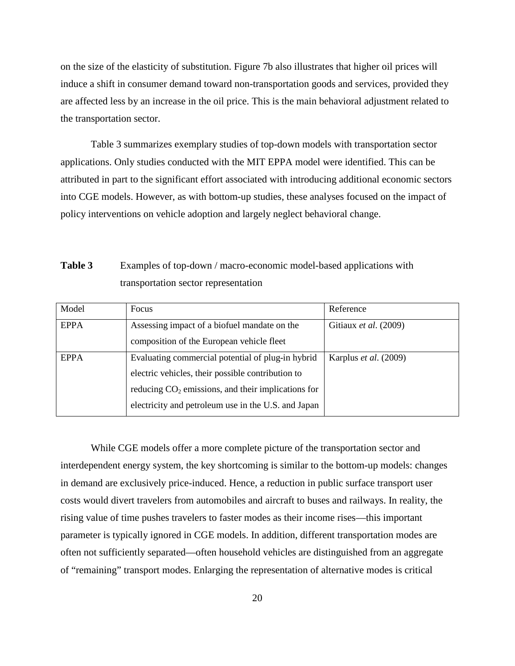on the size of the elasticity of substitution. Figure 7b also illustrates that higher oil prices will induce a shift in consumer demand toward non-transportation goods and services, provided they are affected less by an increase in the oil price. This is the main behavioral adjustment related to the transportation sector.

Table 3 summarizes exemplary studies of top-down models with transportation sector applications. Only studies conducted with the MIT EPPA model were identified. This can be attributed in part to the significant effort associated with introducing additional economic sectors into CGE models. However, as with bottom-up studies, these analyses focused on the impact of policy interventions on vehicle adoption and largely neglect behavioral change.

# **Table 3** Examples of top-down / macro-economic model-based applications with transportation sector representation

| Model       | Focus                                                | Reference             |
|-------------|------------------------------------------------------|-----------------------|
| <b>EPPA</b> | Assessing impact of a biofuel mandate on the         | Gitiaux et al. (2009) |
|             | composition of the European vehicle fleet            |                       |
| <b>EPPA</b> | Evaluating commercial potential of plug-in hybrid    | Karplus et al. (2009) |
|             | electric vehicles, their possible contribution to    |                       |
|             | reducing $CO2$ emissions, and their implications for |                       |
|             | electricity and petroleum use in the U.S. and Japan  |                       |

 While CGE models offer a more complete picture of the transportation sector and interdependent energy system, the key shortcoming is similar to the bottom-up models: changes in demand are exclusively price-induced. Hence, a reduction in public surface transport user costs would divert travelers from automobiles and aircraft to buses and railways. In reality, the rising value of time pushes travelers to faster modes as their income rises—this important parameter is typically ignored in CGE models. In addition, different transportation modes are often not sufficiently separated—often household vehicles are distinguished from an aggregate of "remaining" transport modes. Enlarging the representation of alternative modes is critical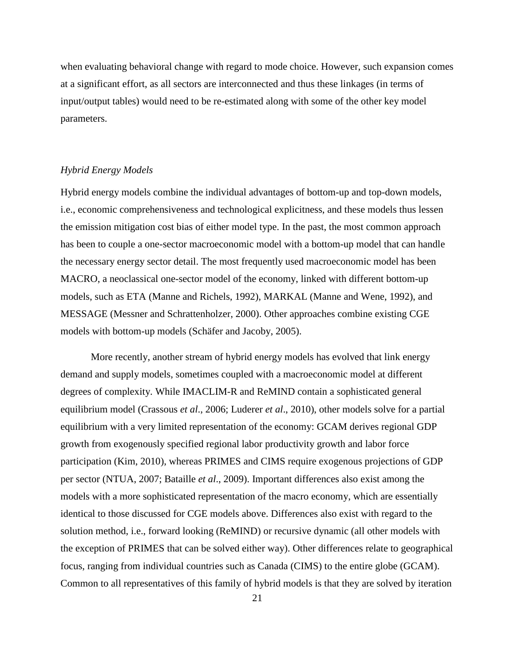when evaluating behavioral change with regard to mode choice. However, such expansion comes at a significant effort, as all sectors are interconnected and thus these linkages (in terms of input/output tables) would need to be re-estimated along with some of the other key model parameters.

## <span id="page-24-0"></span>*Hybrid Energy Models*

Hybrid energy models combine the individual advantages of bottom-up and top-down models, i.e., economic comprehensiveness and technological explicitness, and these models thus lessen the emission mitigation cost bias of either model type. In the past, the most common approach has been to couple a one-sector macroeconomic model with a bottom-up model that can handle the necessary energy sector detail. The most frequently used macroeconomic model has been MACRO, a neoclassical one-sector model of the economy, linked with different bottom-up models, such as ETA (Manne and Richels, 1992), MARKAL (Manne and Wene, 1992), and MESSAGE (Messner and Schrattenholzer, 2000). Other approaches combine existing CGE models with bottom-up models (Schäfer and Jacoby, 2005).

More recently, another stream of hybrid energy models has evolved that link energy demand and supply models, sometimes coupled with a macroeconomic model at different degrees of complexity. While IMACLIM-R and ReMIND contain a sophisticated general equilibrium model (Crassous *et al*., 2006; Luderer *et al*., 2010), other models solve for a partial equilibrium with a very limited representation of the economy: GCAM derives regional GDP growth from exogenously specified regional labor productivity growth and labor force participation (Kim, 2010), whereas PRIMES and CIMS require exogenous projections of GDP per sector (NTUA, 2007; Bataille *et al*., 2009). Important differences also exist among the models with a more sophisticated representation of the macro economy, which are essentially identical to those discussed for CGE models above. Differences also exist with regard to the solution method, i.e., forward looking (ReMIND) or recursive dynamic (all other models with the exception of PRIMES that can be solved either way). Other differences relate to geographical focus, ranging from individual countries such as Canada (CIMS) to the entire globe (GCAM). Common to all representatives of this family of hybrid models is that they are solved by iteration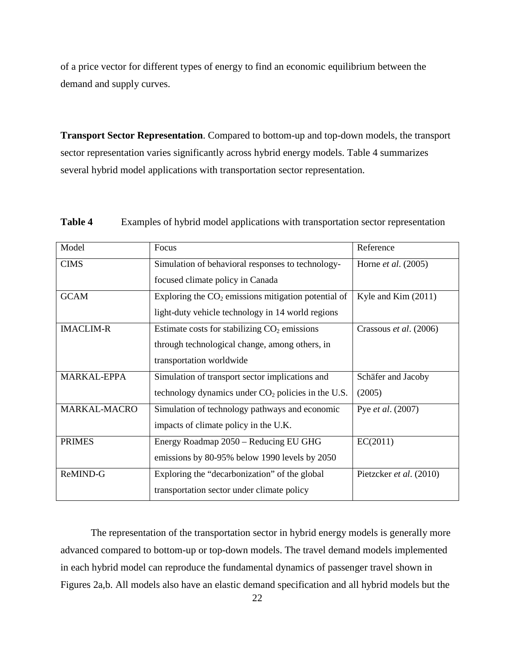of a price vector for different types of energy to find an economic equilibrium between the demand and supply curves.

**Transport Sector Representation**. Compared to bottom-up and top-down models, the transport sector representation varies significantly across hybrid energy models. Table 4 summarizes several hybrid model applications with transportation sector representation.

| Model              | Focus                                                 | Reference                    |
|--------------------|-------------------------------------------------------|------------------------------|
| <b>CIMS</b>        | Simulation of behavioral responses to technology-     | Horne <i>et al.</i> $(2005)$ |
|                    | focused climate policy in Canada                      |                              |
| <b>GCAM</b>        | Exploring the $CO2$ emissions mitigation potential of | Kyle and Kim $(2011)$        |
|                    | light-duty vehicle technology in 14 world regions     |                              |
| <b>IMACLIM-R</b>   | Estimate costs for stabilizing $CO2$ emissions        | Crassous et al. (2006)       |
|                    | through technological change, among others, in        |                              |
|                    | transportation worldwide                              |                              |
| <b>MARKAL-EPPA</b> | Simulation of transport sector implications and       | Schäfer and Jacoby           |
|                    | technology dynamics under $CO2$ policies in the U.S.  | (2005)                       |
| MARKAL-MACRO       | Simulation of technology pathways and economic        | Pye et al. (2007)            |
|                    | impacts of climate policy in the U.K.                 |                              |
| <b>PRIMES</b>      | Energy Roadmap 2050 – Reducing EU GHG                 | EC(2011)                     |
|                    | emissions by 80-95% below 1990 levels by 2050         |                              |
| ReMIND-G           | Exploring the "decarbonization" of the global         | Pietzcker et al. (2010)      |
|                    | transportation sector under climate policy            |                              |

**Table 4** Examples of hybrid model applications with transportation sector representation

 The representation of the transportation sector in hybrid energy models is generally more advanced compared to bottom-up or top-down models. The travel demand models implemented in each hybrid model can reproduce the fundamental dynamics of passenger travel shown in Figures 2a,b. All models also have an elastic demand specification and all hybrid models but the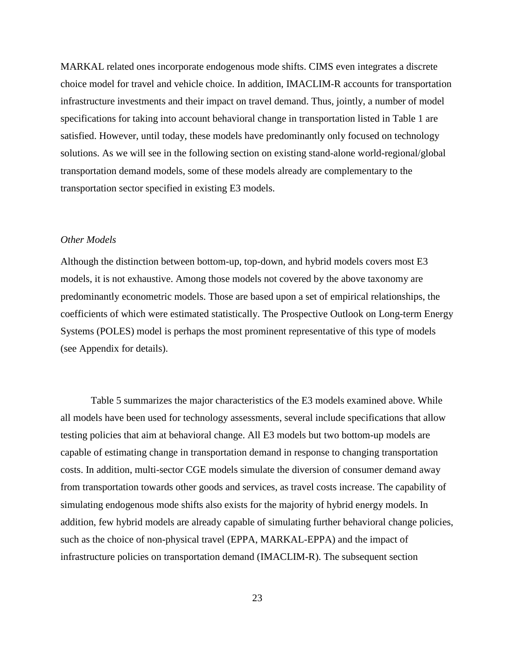MARKAL related ones incorporate endogenous mode shifts. CIMS even integrates a discrete choice model for travel and vehicle choice. In addition, IMACLIM-R accounts for transportation infrastructure investments and their impact on travel demand. Thus, jointly, a number of model specifications for taking into account behavioral change in transportation listed in Table 1 are satisfied. However, until today, these models have predominantly only focused on technology solutions. As we will see in the following section on existing stand-alone world-regional/global transportation demand models, some of these models already are complementary to the transportation sector specified in existing E3 models.

# <span id="page-26-0"></span>*Other Models*

Although the distinction between bottom-up, top-down, and hybrid models covers most E3 models, it is not exhaustive. Among those models not covered by the above taxonomy are predominantly econometric models. Those are based upon a set of empirical relationships, the coefficients of which were estimated statistically. The Prospective Outlook on Long-term Energy Systems (POLES) model is perhaps the most prominent representative of this type of models (see Appendix for details).

Table 5 summarizes the major characteristics of the E3 models examined above. While all models have been used for technology assessments, several include specifications that allow testing policies that aim at behavioral change. All E3 models but two bottom-up models are capable of estimating change in transportation demand in response to changing transportation costs. In addition, multi-sector CGE models simulate the diversion of consumer demand away from transportation towards other goods and services, as travel costs increase. The capability of simulating endogenous mode shifts also exists for the majority of hybrid energy models. In addition, few hybrid models are already capable of simulating further behavioral change policies, such as the choice of non-physical travel (EPPA, MARKAL-EPPA) and the impact of infrastructure policies on transportation demand (IMACLIM-R). The subsequent section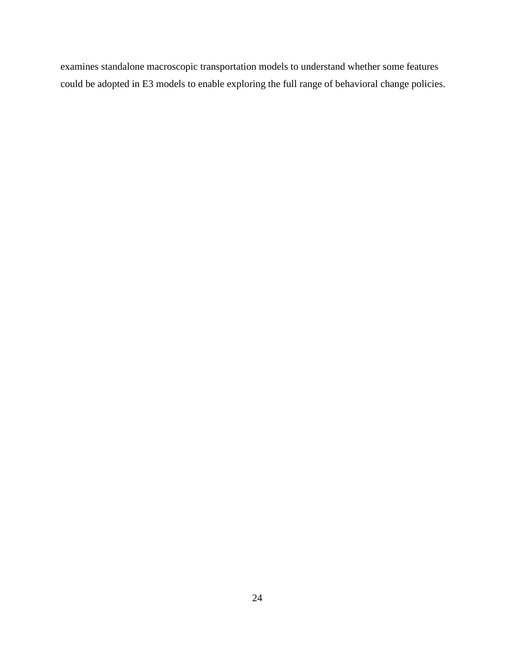examines standalone macroscopic transportation models to understand whether some features could be adopted in E3 models to enable exploring the full range of behavioral change policies.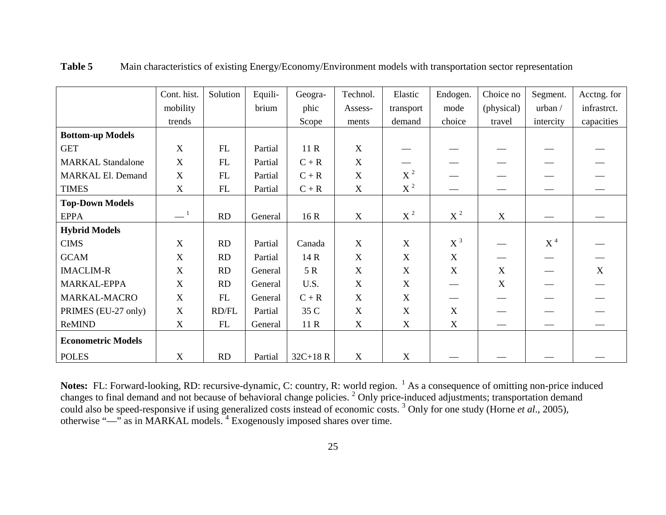|                           | Cont. hist.       | Solution   | Equili- | Geogra-    | Technol.    | Elastic          | Endogen. | Choice no   | Segment.        | Acctng. for |
|---------------------------|-------------------|------------|---------|------------|-------------|------------------|----------|-------------|-----------------|-------------|
|                           | mobility          |            | brium   | phic       | Assess-     | transport        | mode     | (physical)  | urban /         | infrastrct. |
|                           | trends            |            |         | Scope      | ments       | demand           | choice   | travel      | intercity       | capacities  |
| <b>Bottom-up Models</b>   |                   |            |         |            |             |                  |          |             |                 |             |
| <b>GET</b>                | X                 | ${\rm FL}$ | Partial | 11 R       | X           |                  |          |             |                 |             |
| <b>MARKAL Standalone</b>  | X                 | FL         | Partial | $C + R$    | X           |                  |          |             |                 |             |
| <b>MARKAL El. Demand</b>  | $\mathbf X$       | ${\rm FL}$ | Partial | $C + R$    | X           | $X^2$            |          |             |                 |             |
| <b>TIMES</b>              | X                 | FL         | Partial | $C + R$    | X           | $X^2$            |          |             |                 |             |
| <b>Top-Down Models</b>    |                   |            |         |            |             |                  |          |             |                 |             |
| <b>EPPA</b>               | $=$ $\frac{1}{1}$ | RD         | General | 16 R       | $\mathbf X$ | $X^2$            | $X^2$    | $\mathbf X$ |                 |             |
| <b>Hybrid Models</b>      |                   |            |         |            |             |                  |          |             |                 |             |
| <b>CIMS</b>               | X                 | RD         | Partial | Canada     | X           | X                | $X^3$    |             | $\mbox{X}$ $^4$ |             |
| <b>GCAM</b>               | $\mathbf X$       | RD         | Partial | 14 R       | X           | $\boldsymbol{X}$ | X        |             |                 |             |
| <b>IMACLIM-R</b>          | $\mathbf X$       | RD         | General | 5 R        | X           | $\boldsymbol{X}$ | X        | $\mathbf X$ |                 | X           |
| MARKAL-EPPA               | $\mathbf X$       | RD         | General | U.S.       | $\mathbf X$ | $\mathbf X$      |          | X           |                 |             |
| <b>MARKAL-MACRO</b>       | X                 | FL         | General | $C + R$    | X           | X                |          |             |                 |             |
| PRIMES (EU-27 only)       | $\mathbf X$       | RD/FL      | Partial | 35 C       | X           | $\boldsymbol{X}$ | X        |             |                 |             |
| ReMIND                    | X                 | FL         | General | 11 R       | X           | X                | X        |             |                 |             |
| <b>Econometric Models</b> |                   |            |         |            |             |                  |          |             |                 |             |
| <b>POLES</b>              | X                 | RD         | Partial | $32C+18 R$ | X           | X                |          |             |                 |             |

**Table 5** Main characteristics of existing Energy/Economy/Environment models with transportation sector representation

**Notes:** FL: Forward-looking, RD: recursive-dynamic, C: country, R: world region. <sup>1</sup> As a consequence of omitting non-price induced changes to final demand and not because of behavioral change policies. <sup>2</sup> Only price-induced adjustments; transportation demand could also be speed-responsive if using generalized costs instead of economic costs. 3 Only for one study (Horne *et al*., 2005), otherwise "—" as in MARKAL models.<sup>4</sup> Exogenously imposed shares over time.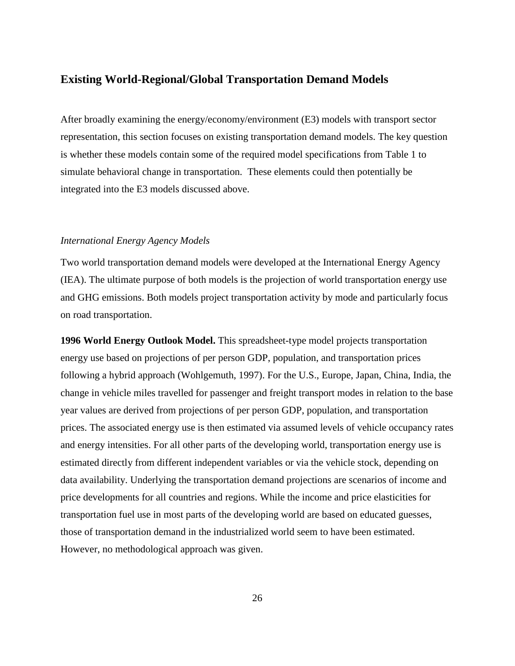# <span id="page-29-0"></span>**Existing World-Regional/Global Transportation Demand Models**

After broadly examining the energy/economy/environment (E3) models with transport sector representation, this section focuses on existing transportation demand models. The key question is whether these models contain some of the required model specifications from Table 1 to simulate behavioral change in transportation. These elements could then potentially be integrated into the E3 models discussed above.

# <span id="page-29-1"></span>*International Energy Agency Models*

Two world transportation demand models were developed at the International Energy Agency (IEA). The ultimate purpose of both models is the projection of world transportation energy use and GHG emissions. Both models project transportation activity by mode and particularly focus on road transportation.

**1996 World Energy Outlook Model.** This spreadsheet-type model projects transportation energy use based on projections of per person GDP, population, and transportation prices following a hybrid approach (Wohlgemuth, 1997). For the U.S., Europe, Japan, China, India, the change in vehicle miles travelled for passenger and freight transport modes in relation to the base year values are derived from projections of per person GDP, population, and transportation prices. The associated energy use is then estimated via assumed levels of vehicle occupancy rates and energy intensities. For all other parts of the developing world, transportation energy use is estimated directly from different independent variables or via the vehicle stock, depending on data availability. Underlying the transportation demand projections are scenarios of income and price developments for all countries and regions. While the income and price elasticities for transportation fuel use in most parts of the developing world are based on educated guesses, those of transportation demand in the industrialized world seem to have been estimated. However, no methodological approach was given.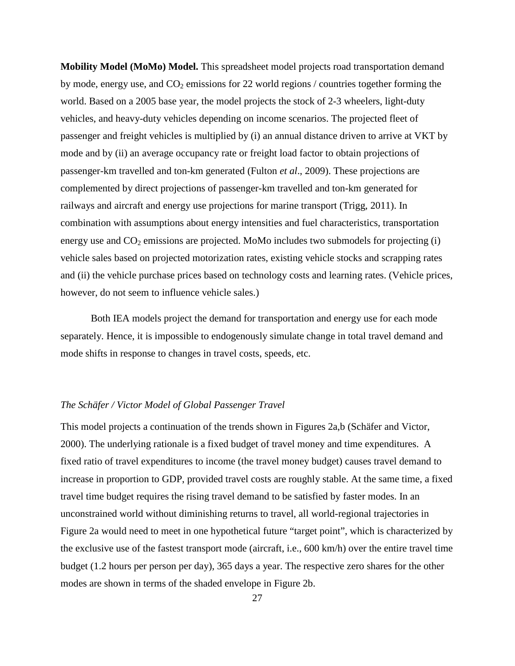**Mobility Model (MoMo) Model.** This spreadsheet model projects road transportation demand by mode, energy use, and  $CO<sub>2</sub>$  emissions for 22 world regions / countries together forming the world. Based on a 2005 base year, the model projects the stock of 2-3 wheelers, light-duty vehicles, and heavy-duty vehicles depending on income scenarios. The projected fleet of passenger and freight vehicles is multiplied by (i) an annual distance driven to arrive at VKT by mode and by (ii) an average occupancy rate or freight load factor to obtain projections of passenger-km travelled and ton-km generated (Fulton *et al*., 2009). These projections are complemented by direct projections of passenger-km travelled and ton-km generated for railways and aircraft and energy use projections for marine transport (Trigg, 2011). In combination with assumptions about energy intensities and fuel characteristics, transportation energy use and  $CO<sub>2</sub>$  emissions are projected. MoMo includes two submodels for projecting (i) vehicle sales based on projected motorization rates, existing vehicle stocks and scrapping rates and (ii) the vehicle purchase prices based on technology costs and learning rates. (Vehicle prices, however, do not seem to influence vehicle sales.)

 Both IEA models project the demand for transportation and energy use for each mode separately. Hence, it is impossible to endogenously simulate change in total travel demand and mode shifts in response to changes in travel costs, speeds, etc.

# <span id="page-30-0"></span>*The Schäfer / Victor Model of Global Passenger Travel*

This model projects a continuation of the trends shown in Figures 2a,b (Schäfer and Victor, 2000). The underlying rationale is a fixed budget of travel money and time expenditures. A fixed ratio of travel expenditures to income (the travel money budget) causes travel demand to increase in proportion to GDP, provided travel costs are roughly stable. At the same time, a fixed travel time budget requires the rising travel demand to be satisfied by faster modes. In an unconstrained world without diminishing returns to travel, all world-regional trajectories in Figure 2a would need to meet in one hypothetical future "target point", which is characterized by the exclusive use of the fastest transport mode (aircraft, i.e., 600 km/h) over the entire travel time budget (1.2 hours per person per day), 365 days a year. The respective zero shares for the other modes are shown in terms of the shaded envelope in Figure 2b.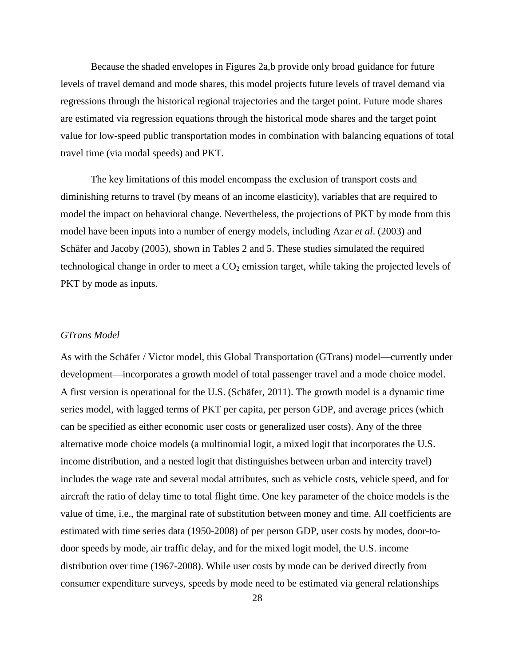Because the shaded envelopes in Figures 2a,b provide only broad guidance for future levels of travel demand and mode shares, this model projects future levels of travel demand via regressions through the historical regional trajectories and the target point. Future mode shares are estimated via regression equations through the historical mode shares and the target point value for low-speed public transportation modes in combination with balancing equations of total travel time (via modal speeds) and PKT.

The key limitations of this model encompass the exclusion of transport costs and diminishing returns to travel (by means of an income elasticity), variables that are required to model the impact on behavioral change. Nevertheless, the projections of PKT by mode from this model have been inputs into a number of energy models, including Azar *et al*. (2003) and Schäfer and Jacoby (2005), shown in Tables 2 and 5. These studies simulated the required technological change in order to meet a  $CO<sub>2</sub>$  emission target, while taking the projected levels of PKT by mode as inputs.

### <span id="page-31-0"></span>*GTrans Model*

As with the Schäfer / Victor model, this Global Transportation (GTrans) model—currently under development—incorporates a growth model of total passenger travel and a mode choice model. A first version is operational for the U.S. (Schäfer, 2011). The growth model is a dynamic time series model, with lagged terms of PKT per capita, per person GDP, and average prices (which can be specified as either economic user costs or generalized user costs). Any of the three alternative mode choice models (a multinomial logit, a mixed logit that incorporates the U.S. income distribution, and a nested logit that distinguishes between urban and intercity travel) includes the wage rate and several modal attributes, such as vehicle costs, vehicle speed, and for aircraft the ratio of delay time to total flight time. One key parameter of the choice models is the value of time, i.e., the marginal rate of substitution between money and time. All coefficients are estimated with time series data (1950-2008) of per person GDP, user costs by modes, door-todoor speeds by mode, air traffic delay, and for the mixed logit model, the U.S. income distribution over time (1967-2008). While user costs by mode can be derived directly from consumer expenditure surveys, speeds by mode need to be estimated via general relationships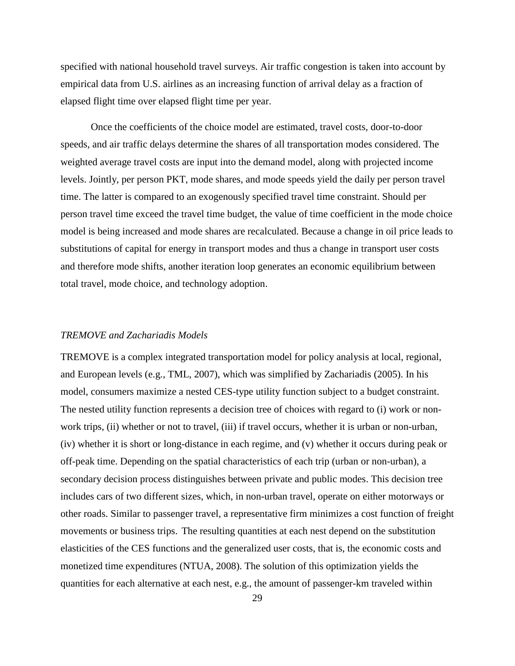specified with national household travel surveys. Air traffic congestion is taken into account by empirical data from U.S. airlines as an increasing function of arrival delay as a fraction of elapsed flight time over elapsed flight time per year.

Once the coefficients of the choice model are estimated, travel costs, door-to-door speeds, and air traffic delays determine the shares of all transportation modes considered. The weighted average travel costs are input into the demand model, along with projected income levels. Jointly, per person PKT, mode shares, and mode speeds yield the daily per person travel time. The latter is compared to an exogenously specified travel time constraint. Should per person travel time exceed the travel time budget, the value of time coefficient in the mode choice model is being increased and mode shares are recalculated. Because a change in oil price leads to substitutions of capital for energy in transport modes and thus a change in transport user costs and therefore mode shifts, another iteration loop generates an economic equilibrium between total travel, mode choice, and technology adoption.

# <span id="page-32-0"></span>*TREMOVE and Zachariadis Models*

TREMOVE is a complex integrated transportation model for policy analysis at local, regional, and European levels (e.g., TML, 2007), which was simplified by Zachariadis (2005). In his model, consumers maximize a nested CES-type utility function subject to a budget constraint. The nested utility function represents a decision tree of choices with regard to (i) work or nonwork trips, (ii) whether or not to travel, (iii) if travel occurs, whether it is urban or non-urban, (iv) whether it is short or long-distance in each regime, and (v) whether it occurs during peak or off-peak time. Depending on the spatial characteristics of each trip (urban or non-urban), a secondary decision process distinguishes between private and public modes. This decision tree includes cars of two different sizes, which, in non-urban travel, operate on either motorways or other roads. Similar to passenger travel, a representative firm minimizes a cost function of freight movements or business trips. The resulting quantities at each nest depend on the substitution elasticities of the CES functions and the generalized user costs, that is, the economic costs and monetized time expenditures (NTUA, 2008). The solution of this optimization yields the quantities for each alternative at each nest, e.g., the amount of passenger-km traveled within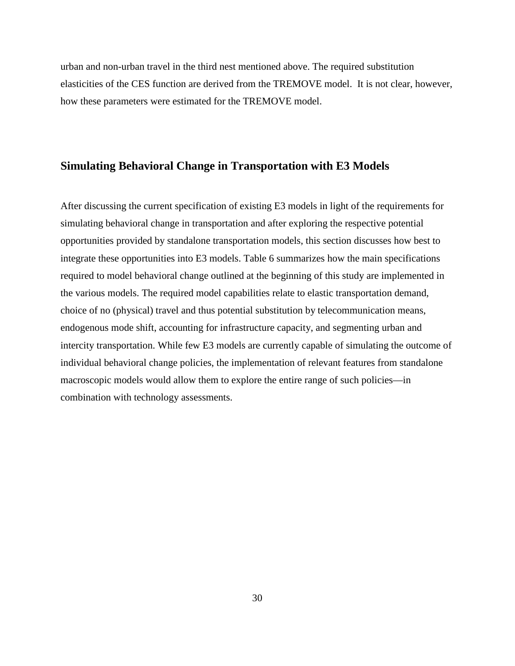urban and non-urban travel in the third nest mentioned above. The required substitution elasticities of the CES function are derived from the TREMOVE model. It is not clear, however, how these parameters were estimated for the TREMOVE model.

# <span id="page-33-0"></span>**Simulating Behavioral Change in Transportation with E3 Models**

After discussing the current specification of existing E3 models in light of the requirements for simulating behavioral change in transportation and after exploring the respective potential opportunities provided by standalone transportation models, this section discusses how best to integrate these opportunities into E3 models. Table 6 summarizes how the main specifications required to model behavioral change outlined at the beginning of this study are implemented in the various models. The required model capabilities relate to elastic transportation demand, choice of no (physical) travel and thus potential substitution by telecommunication means, endogenous mode shift, accounting for infrastructure capacity, and segmenting urban and intercity transportation. While few E3 models are currently capable of simulating the outcome of individual behavioral change policies, the implementation of relevant features from standalone macroscopic models would allow them to explore the entire range of such policies—in combination with technology assessments.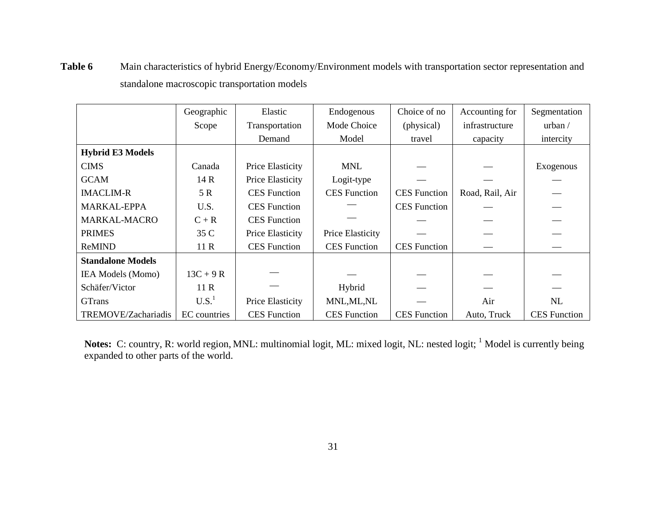|                          | Geographic        | Elastic             | Endogenous          | Choice of no        | Accounting for  | Segmentation        |
|--------------------------|-------------------|---------------------|---------------------|---------------------|-----------------|---------------------|
|                          | Scope             | Transportation      | Mode Choice         | (physical)          | infrastructure  | urban /             |
|                          |                   | Demand              | Model               | travel              | capacity        | intercity           |
| <b>Hybrid E3 Models</b>  |                   |                     |                     |                     |                 |                     |
| <b>CIMS</b>              | Canada            | Price Elasticity    | <b>MNL</b>          |                     |                 | Exogenous           |
| <b>GCAM</b>              | 14 R              | Price Elasticity    | Logit-type          |                     |                 |                     |
| <b>IMACLIM-R</b>         | 5 R               | <b>CES</b> Function | <b>CES</b> Function | <b>CES</b> Function | Road, Rail, Air |                     |
| <b>MARKAL-EPPA</b>       | U.S.              | <b>CES</b> Function |                     | <b>CES</b> Function |                 |                     |
| <b>MARKAL-MACRO</b>      | $C + R$           | <b>CES</b> Function |                     |                     |                 |                     |
| <b>PRIMES</b>            | 35 C              | Price Elasticity    | Price Elasticity    |                     |                 |                     |
| ReMIND                   | 11R               | <b>CES</b> Function | <b>CES</b> Function | <b>CES</b> Function |                 |                     |
| <b>Standalone Models</b> |                   |                     |                     |                     |                 |                     |
| <b>IEA Models (Momo)</b> | $13C + 9R$        |                     |                     |                     |                 |                     |
| Schäfer/Victor           | 11R               |                     | Hybrid              |                     |                 |                     |
| <b>GTrans</b>            | U.S. <sup>1</sup> | Price Elasticity    | MNL, ML, NL         |                     | Air             | NL                  |
| TREMOVE/Zachariadis      | EC countries      | <b>CES</b> Function | <b>CES</b> Function | <b>CES</b> Function | Auto, Truck     | <b>CES</b> Function |

**Table 6** Main characteristics of hybrid Energy/Economy/Environment models with transportation sector representation and standalone macroscopic transportation models

Notes: C: country, R: world region, MNL: multinomial logit, ML: mixed logit, NL: nested logit; <sup>1</sup> Model is currently being expanded to other parts of the world.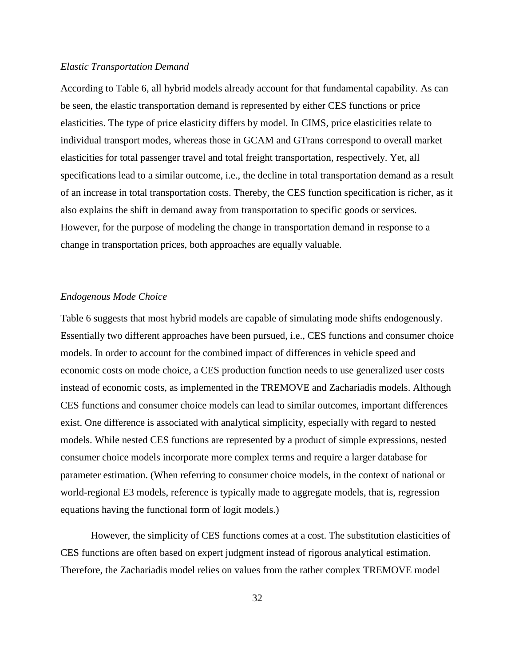### <span id="page-35-0"></span>*Elastic Transportation Demand*

According to Table 6, all hybrid models already account for that fundamental capability. As can be seen, the elastic transportation demand is represented by either CES functions or price elasticities. The type of price elasticity differs by model. In CIMS, price elasticities relate to individual transport modes, whereas those in GCAM and GTrans correspond to overall market elasticities for total passenger travel and total freight transportation, respectively. Yet, all specifications lead to a similar outcome, i.e., the decline in total transportation demand as a result of an increase in total transportation costs. Thereby, the CES function specification is richer, as it also explains the shift in demand away from transportation to specific goods or services. However, for the purpose of modeling the change in transportation demand in response to a change in transportation prices, both approaches are equally valuable.

# <span id="page-35-1"></span>*Endogenous Mode Choice*

Table 6 suggests that most hybrid models are capable of simulating mode shifts endogenously. Essentially two different approaches have been pursued, i.e., CES functions and consumer choice models. In order to account for the combined impact of differences in vehicle speed and economic costs on mode choice, a CES production function needs to use generalized user costs instead of economic costs, as implemented in the TREMOVE and Zachariadis models. Although CES functions and consumer choice models can lead to similar outcomes, important differences exist. One difference is associated with analytical simplicity, especially with regard to nested models. While nested CES functions are represented by a product of simple expressions, nested consumer choice models incorporate more complex terms and require a larger database for parameter estimation. (When referring to consumer choice models, in the context of national or world-regional E3 models, reference is typically made to aggregate models, that is, regression equations having the functional form of logit models.)

 However, the simplicity of CES functions comes at a cost. The substitution elasticities of CES functions are often based on expert judgment instead of rigorous analytical estimation. Therefore, the Zachariadis model relies on values from the rather complex TREMOVE model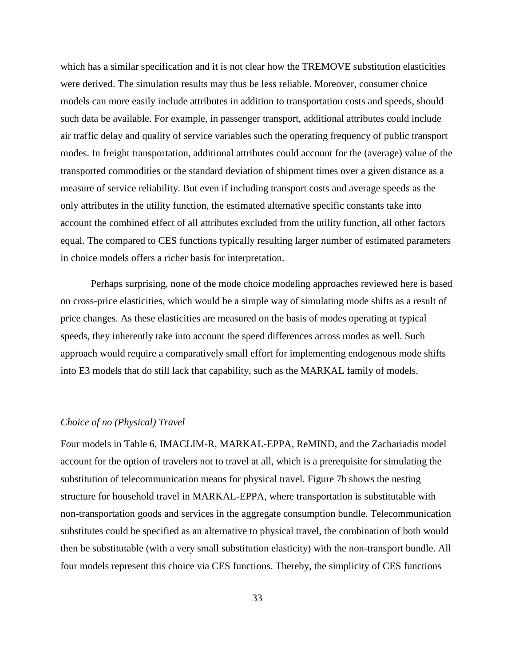which has a similar specification and it is not clear how the TREMOVE substitution elasticities were derived. The simulation results may thus be less reliable. Moreover, consumer choice models can more easily include attributes in addition to transportation costs and speeds, should such data be available. For example, in passenger transport, additional attributes could include air traffic delay and quality of service variables such the operating frequency of public transport modes. In freight transportation, additional attributes could account for the (average) value of the transported commodities or the standard deviation of shipment times over a given distance as a measure of service reliability. But even if including transport costs and average speeds as the only attributes in the utility function, the estimated alternative specific constants take into account the combined effect of all attributes excluded from the utility function, all other factors equal. The compared to CES functions typically resulting larger number of estimated parameters in choice models offers a richer basis for interpretation.

 Perhaps surprising, none of the mode choice modeling approaches reviewed here is based on cross-price elasticities, which would be a simple way of simulating mode shifts as a result of price changes. As these elasticities are measured on the basis of modes operating at typical speeds, they inherently take into account the speed differences across modes as well. Such approach would require a comparatively small effort for implementing endogenous mode shifts into E3 models that do still lack that capability, such as the MARKAL family of models.

# <span id="page-36-0"></span>*Choice of no (Physical) Travel*

Four models in Table 6, IMACLIM-R, MARKAL-EPPA, ReMIND, and the Zachariadis model account for the option of travelers not to travel at all, which is a prerequisite for simulating the substitution of telecommunication means for physical travel. Figure 7b shows the nesting structure for household travel in MARKAL-EPPA, where transportation is substitutable with non-transportation goods and services in the aggregate consumption bundle. Telecommunication substitutes could be specified as an alternative to physical travel, the combination of both would then be substitutable (with a very small substitution elasticity) with the non-transport bundle. All four models represent this choice via CES functions. Thereby, the simplicity of CES functions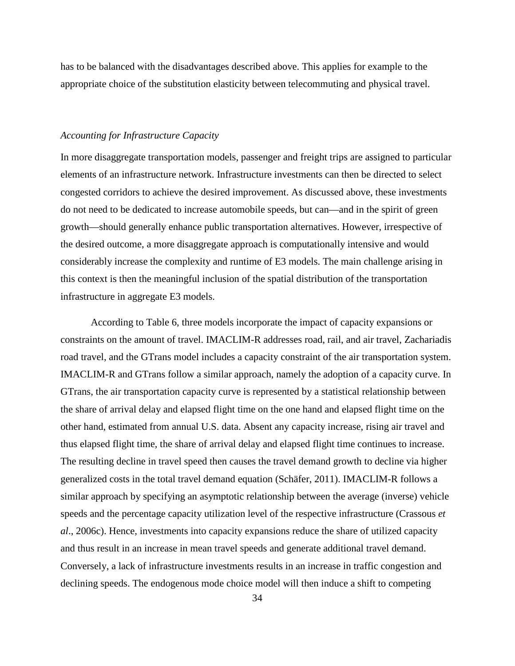has to be balanced with the disadvantages described above. This applies for example to the appropriate choice of the substitution elasticity between telecommuting and physical travel.

# <span id="page-37-0"></span>*Accounting for Infrastructure Capacity*

In more disaggregate transportation models, passenger and freight trips are assigned to particular elements of an infrastructure network. Infrastructure investments can then be directed to select congested corridors to achieve the desired improvement. As discussed above, these investments do not need to be dedicated to increase automobile speeds, but can—and in the spirit of green growth—should generally enhance public transportation alternatives. However, irrespective of the desired outcome, a more disaggregate approach is computationally intensive and would considerably increase the complexity and runtime of E3 models. The main challenge arising in this context is then the meaningful inclusion of the spatial distribution of the transportation infrastructure in aggregate E3 models.

 According to Table 6, three models incorporate the impact of capacity expansions or constraints on the amount of travel. IMACLIM-R addresses road, rail, and air travel, Zachariadis road travel, and the GTrans model includes a capacity constraint of the air transportation system. IMACLIM-R and GTrans follow a similar approach, namely the adoption of a capacity curve. In GTrans, the air transportation capacity curve is represented by a statistical relationship between the share of arrival delay and elapsed flight time on the one hand and elapsed flight time on the other hand, estimated from annual U.S. data. Absent any capacity increase, rising air travel and thus elapsed flight time, the share of arrival delay and elapsed flight time continues to increase. The resulting decline in travel speed then causes the travel demand growth to decline via higher generalized costs in the total travel demand equation (Schäfer, 2011). IMACLIM-R follows a similar approach by specifying an asymptotic relationship between the average (inverse) vehicle speeds and the percentage capacity utilization level of the respective infrastructure (Crassous *et al*., 2006c). Hence, investments into capacity expansions reduce the share of utilized capacity and thus result in an increase in mean travel speeds and generate additional travel demand. Conversely, a lack of infrastructure investments results in an increase in traffic congestion and declining speeds. The endogenous mode choice model will then induce a shift to competing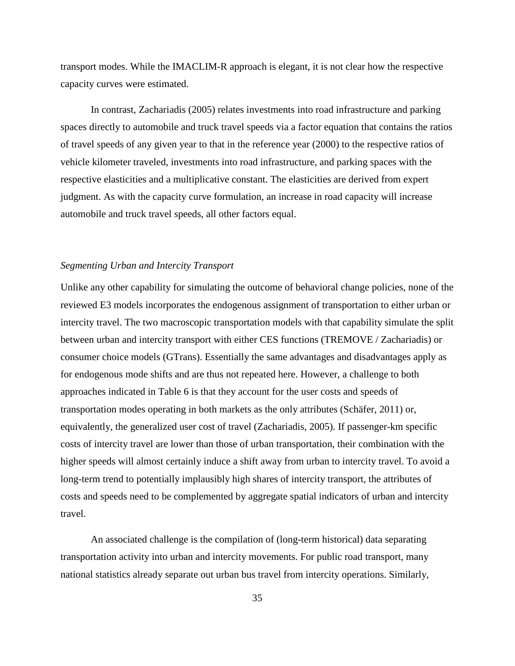transport modes. While the IMACLIM-R approach is elegant, it is not clear how the respective capacity curves were estimated.

 In contrast, Zachariadis (2005) relates investments into road infrastructure and parking spaces directly to automobile and truck travel speeds via a factor equation that contains the ratios of travel speeds of any given year to that in the reference year (2000) to the respective ratios of vehicle kilometer traveled, investments into road infrastructure, and parking spaces with the respective elasticities and a multiplicative constant. The elasticities are derived from expert judgment. As with the capacity curve formulation, an increase in road capacity will increase automobile and truck travel speeds, all other factors equal.

### <span id="page-38-0"></span>*Segmenting Urban and Intercity Transport*

Unlike any other capability for simulating the outcome of behavioral change policies, none of the reviewed E3 models incorporates the endogenous assignment of transportation to either urban or intercity travel. The two macroscopic transportation models with that capability simulate the split between urban and intercity transport with either CES functions (TREMOVE / Zachariadis) or consumer choice models (GTrans). Essentially the same advantages and disadvantages apply as for endogenous mode shifts and are thus not repeated here. However, a challenge to both approaches indicated in Table 6 is that they account for the user costs and speeds of transportation modes operating in both markets as the only attributes (Schäfer, 2011) or, equivalently, the generalized user cost of travel (Zachariadis, 2005). If passenger-km specific costs of intercity travel are lower than those of urban transportation, their combination with the higher speeds will almost certainly induce a shift away from urban to intercity travel. To avoid a long-term trend to potentially implausibly high shares of intercity transport, the attributes of costs and speeds need to be complemented by aggregate spatial indicators of urban and intercity travel.

An associated challenge is the compilation of (long-term historical) data separating transportation activity into urban and intercity movements. For public road transport, many national statistics already separate out urban bus travel from intercity operations. Similarly,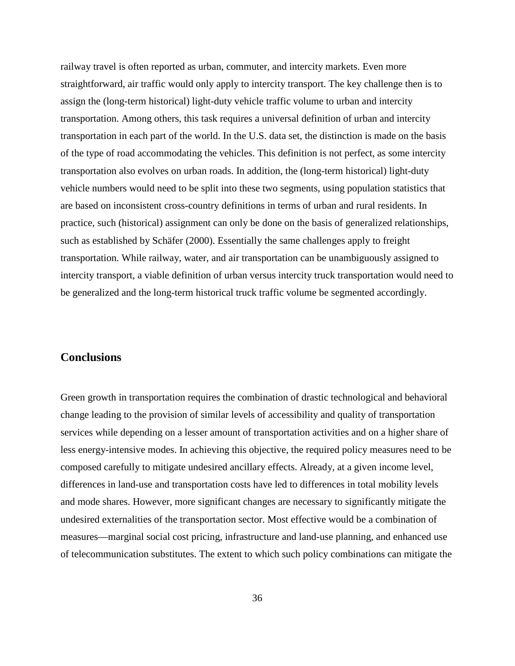railway travel is often reported as urban, commuter, and intercity markets. Even more straightforward, air traffic would only apply to intercity transport. The key challenge then is to assign the (long-term historical) light-duty vehicle traffic volume to urban and intercity transportation. Among others, this task requires a universal definition of urban and intercity transportation in each part of the world. In the U.S. data set, the distinction is made on the basis of the type of road accommodating the vehicles. This definition is not perfect, as some intercity transportation also evolves on urban roads. In addition, the (long-term historical) light-duty vehicle numbers would need to be split into these two segments, using population statistics that are based on inconsistent cross-country definitions in terms of urban and rural residents. In practice, such (historical) assignment can only be done on the basis of generalized relationships, such as established by Schäfer (2000). Essentially the same challenges apply to freight transportation. While railway, water, and air transportation can be unambiguously assigned to intercity transport, a viable definition of urban versus intercity truck transportation would need to be generalized and the long-term historical truck traffic volume be segmented accordingly.

# <span id="page-39-0"></span>**Conclusions**

Green growth in transportation requires the combination of drastic technological and behavioral change leading to the provision of similar levels of accessibility and quality of transportation services while depending on a lesser amount of transportation activities and on a higher share of less energy-intensive modes. In achieving this objective, the required policy measures need to be composed carefully to mitigate undesired ancillary effects. Already, at a given income level, differences in land-use and transportation costs have led to differences in total mobility levels and mode shares. However, more significant changes are necessary to significantly mitigate the undesired externalities of the transportation sector. Most effective would be a combination of measures—marginal social cost pricing, infrastructure and land-use planning, and enhanced use of telecommunication substitutes. The extent to which such policy combinations can mitigate the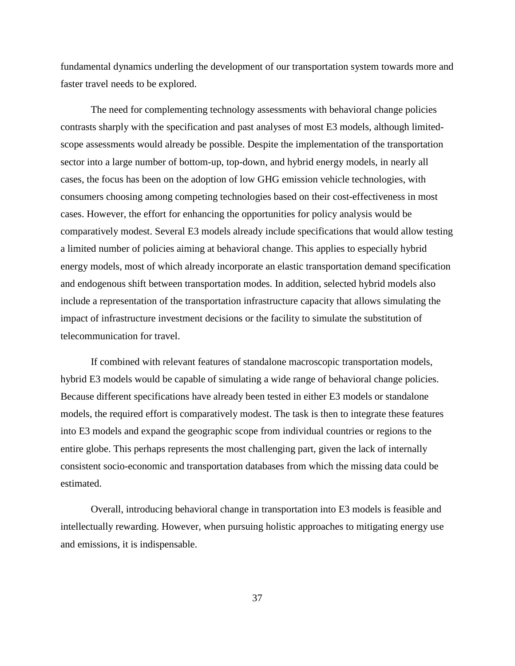fundamental dynamics underling the development of our transportation system towards more and faster travel needs to be explored.

The need for complementing technology assessments with behavioral change policies contrasts sharply with the specification and past analyses of most E3 models, although limitedscope assessments would already be possible. Despite the implementation of the transportation sector into a large number of bottom-up, top-down, and hybrid energy models, in nearly all cases, the focus has been on the adoption of low GHG emission vehicle technologies, with consumers choosing among competing technologies based on their cost-effectiveness in most cases. However, the effort for enhancing the opportunities for policy analysis would be comparatively modest. Several E3 models already include specifications that would allow testing a limited number of policies aiming at behavioral change. This applies to especially hybrid energy models, most of which already incorporate an elastic transportation demand specification and endogenous shift between transportation modes. In addition, selected hybrid models also include a representation of the transportation infrastructure capacity that allows simulating the impact of infrastructure investment decisions or the facility to simulate the substitution of telecommunication for travel.

 If combined with relevant features of standalone macroscopic transportation models, hybrid E3 models would be capable of simulating a wide range of behavioral change policies. Because different specifications have already been tested in either E3 models or standalone models, the required effort is comparatively modest. The task is then to integrate these features into E3 models and expand the geographic scope from individual countries or regions to the entire globe. This perhaps represents the most challenging part, given the lack of internally consistent socio-economic and transportation databases from which the missing data could be estimated.

 Overall, introducing behavioral change in transportation into E3 models is feasible and intellectually rewarding. However, when pursuing holistic approaches to mitigating energy use and emissions, it is indispensable.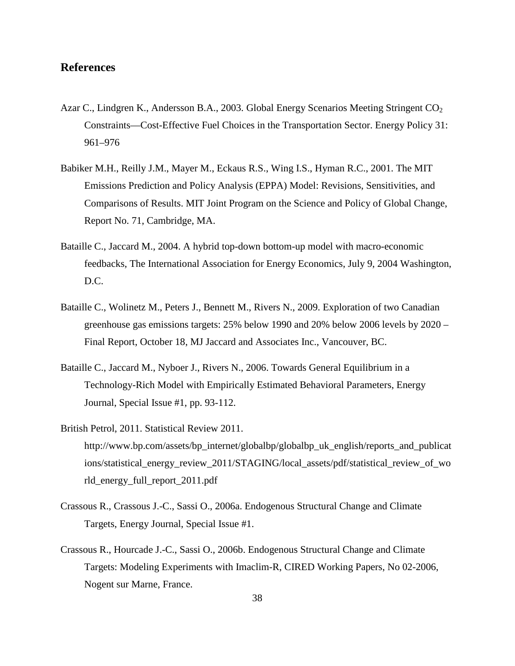# <span id="page-41-0"></span>**References**

- Azar C., Lindgren K., Andersson B.A., 2003. Global Energy Scenarios Meeting Stringent CO<sub>2</sub> Constraints—Cost-Effective Fuel Choices in the Transportation Sector. Energy Policy 31: 961–976
- Babiker M.H., Reilly J.M., Mayer M., Eckaus R.S., Wing I.S., Hyman R.C., 2001. The MIT Emissions Prediction and Policy Analysis (EPPA) Model: Revisions, Sensitivities, and Comparisons of Results. MIT Joint Program on the Science and Policy of Global Change, Report No. 71, Cambridge, MA.
- Bataille C., Jaccard M., 2004. A hybrid top-down bottom-up model with macro-economic feedbacks, The International Association for Energy Economics, July 9, 2004 Washington, D.C.
- Bataille C., Wolinetz M., Peters J., Bennett M., Rivers N., 2009. Exploration of two Canadian greenhouse gas emissions targets: 25% below 1990 and 20% below 2006 levels by 2020 – Final Report, October 18, MJ Jaccard and Associates Inc., Vancouver, BC.
- Bataille C., Jaccard M., Nyboer J., Rivers N., 2006. Towards General Equilibrium in a Technology-Rich Model with Empirically Estimated Behavioral Parameters, Energy Journal, Special Issue #1, pp. 93-112.
- British Petrol, 2011. Statistical Review 2011. http://www.bp.com/assets/bp\_internet/globalbp/globalbp\_uk\_english/reports\_and\_publicat ions/statistical\_energy\_review\_2011/STAGING/local\_assets/pdf/statistical\_review\_of\_wo rld\_energy\_full\_report\_2011.pdf
- Crassous R., Crassous J.-C., Sassi O., 2006a. Endogenous Structural Change and Climate Targets, Energy Journal, Special Issue #1.
- Crassous R., Hourcade J.-C., Sassi O., 2006b. Endogenous Structural Change and Climate Targets: Modeling Experiments with Imaclim-R, CIRED Working Papers, No 02-2006, Nogent sur Marne, France.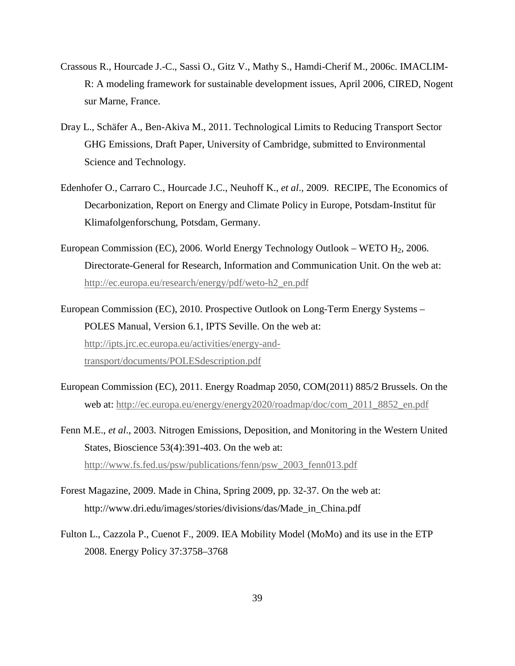- Crassous R., Hourcade J.-C., Sassi O., Gitz V., Mathy S., Hamdi-Cherif M., 2006c. IMACLIM-R: A modeling framework for sustainable development issues, April 2006, CIRED, Nogent sur Marne, France.
- Dray L., Schäfer A., Ben-Akiva M., 2011. Technological Limits to Reducing Transport Sector GHG Emissions, Draft Paper, University of Cambridge, submitted to Environmental Science and Technology.
- Edenhofer O., Carraro C., Hourcade J.C., Neuhoff K., *et al*., 2009. RECIPE, The Economics of Decarbonization, Report on Energy and Climate Policy in Europe, Potsdam-Institut für Klimafolgenforschung, Potsdam, Germany.
- European Commission (EC), 2006. World Energy Technology Outlook WETO  $H<sub>2</sub>$ , 2006. Directorate-General for Research, Information and Communication Unit. On the web at: [http://ec.europa.eu/research/energy/pdf/weto-h2\\_en.pdf](http://ec.europa.eu/research/energy/pdf/weto-h2_en.pdf)
- European Commission (EC), 2010. Prospective Outlook on Long-Term Energy Systems POLES Manual, Version 6.1, IPTS Seville. On the web at: [http://ipts.jrc.ec.europa.eu/activities/energy-and](http://ipts.jrc.ec.europa.eu/activities/energy-and-transport/documents/POLESdescription.pdf)[transport/documents/POLESdescription.pdf](http://ipts.jrc.ec.europa.eu/activities/energy-and-transport/documents/POLESdescription.pdf)
- European Commission (EC), 2011. Energy Roadmap 2050, COM(2011) 885/2 Brussels. On the web at: [http://ec.europa.eu/energy/energy2020/roadmap/doc/com\\_2011\\_8852\\_en.pdf](http://ec.europa.eu/energy/energy2020/roadmap/doc/com_2011_8852_en.pdf)
- Fenn M.E., *et al*., 2003. Nitrogen Emissions, Deposition, and Monitoring in the Western United States, Bioscience 53(4):391-403. On the web at: [http://www.fs.fed.us/psw/publications/fenn/psw\\_2003\\_fenn013.pdf](http://www.fs.fed.us/psw/publications/fenn/psw_2003_fenn013.pdf)
- Forest Magazine, 2009. Made in China, Spring 2009, pp. 32-37. On the web at: http://www.dri.edu/images/stories/divisions/das/Made\_in\_China.pdf
- Fulton L., Cazzola P., Cuenot F., 2009. IEA Mobility Model (MoMo) and its use in the ETP 2008. Energy Policy 37:3758–3768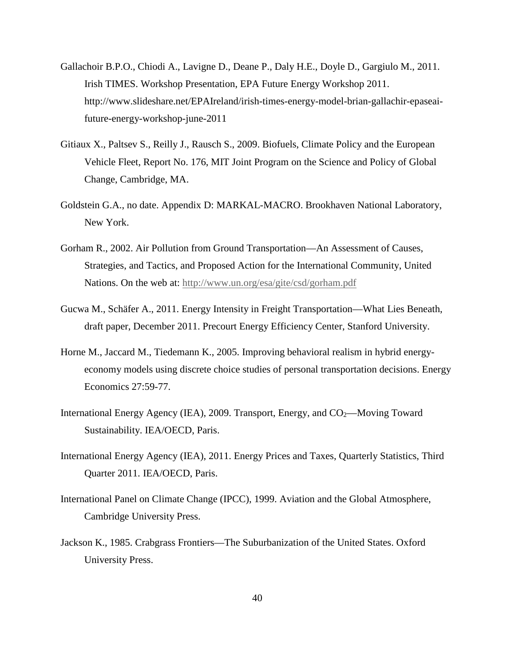- Gallachoir B.P.O., Chiodi A., Lavigne D., Deane P., Daly H.E., Doyle D., Gargiulo M., 2011. Irish TIMES. Workshop Presentation, EPA Future Energy Workshop 2011. http://www.slideshare.net/EPAIreland/irish-times-energy-model-brian-gallachir-epaseaifuture-energy-workshop-june-2011
- Gitiaux X., Paltsev S., Reilly J., Rausch S., 2009. Biofuels, Climate Policy and the European Vehicle Fleet, Report No. 176, MIT Joint Program on the Science and Policy of Global Change, Cambridge, MA.
- Goldstein G.A., no date. Appendix D: MARKAL-MACRO. Brookhaven National Laboratory, New York.
- Gorham R., 2002. Air Pollution from Ground Transportation—An Assessment of Causes, Strategies, and Tactics, and Proposed Action for the International Community, United Nations. On the web at:<http://www.un.org/esa/gite/csd/gorham.pdf>
- Gucwa M., Schäfer A., 2011. Energy Intensity in Freight Transportation—What Lies Beneath, draft paper, December 2011. Precourt Energy Efficiency Center, Stanford University.
- Horne M., Jaccard M., Tiedemann K., 2005. Improving behavioral realism in hybrid energyeconomy models using discrete choice studies of personal transportation decisions. Energy Economics 27:59-77.
- International Energy Agency (IEA), 2009. Transport, Energy, and  $CO<sub>2</sub>$ —Moving Toward Sustainability. IEA/OECD, Paris.
- International Energy Agency (IEA), 2011. Energy Prices and Taxes, Quarterly Statistics, Third Quarter 2011. IEA/OECD, Paris.
- International Panel on Climate Change (IPCC), 1999. Aviation and the Global Atmosphere, Cambridge University Press.
- Jackson K., 1985. Crabgrass Frontiers—The Suburbanization of the United States. Oxford University Press.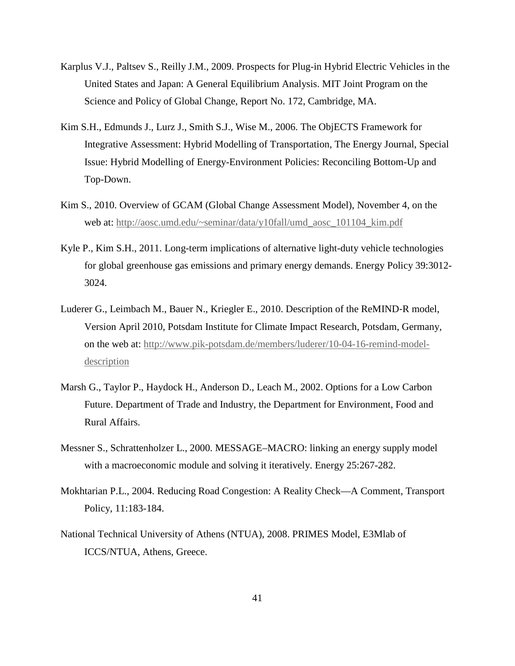- Karplus V.J., Paltsev S., Reilly J.M., 2009. Prospects for Plug-in Hybrid Electric Vehicles in the United States and Japan: A General Equilibrium Analysis. MIT Joint Program on the Science and Policy of Global Change, Report No. 172, Cambridge, MA.
- Kim S.H., Edmunds J., Lurz J., Smith S.J., Wise M., 2006. The ObjECTS Framework for Integrative Assessment: Hybrid Modelling of Transportation, The Energy Journal, Special Issue: Hybrid Modelling of Energy-Environment Policies: Reconciling Bottom-Up and Top-Down.
- Kim S., 2010. Overview of GCAM (Global Change Assessment Model), November 4, on the web at: [http://aosc.umd.edu/~seminar/data/y10fall/umd\\_aosc\\_101104\\_kim.pdf](http://aosc.umd.edu/~seminar/data/y10fall/umd_aosc_101104_kim.pdf)
- Kyle P., Kim S.H., 2011. Long-term implications of alternative light-duty vehicle technologies for global greenhouse gas emissions and primary energy demands. Energy Policy 39:3012- 3024.
- Luderer G., Leimbach M., Bauer N., Kriegler E., 2010. Description of the ReMIND-R model, Version April 2010, Potsdam Institute for Climate Impact Research, Potsdam, Germany, on the web at: [http://www.pik-potsdam.de/members/luderer/10-04-16-remind-model](http://www.pik-potsdam.de/members/luderer/10-04-16-remind-model-description)[description](http://www.pik-potsdam.de/members/luderer/10-04-16-remind-model-description)
- Marsh G., Taylor P., Haydock H., Anderson D., Leach M., 2002. Options for a Low Carbon Future. Department of Trade and Industry, the Department for Environment, Food and Rural Affairs.
- Messner S., Schrattenholzer L., 2000. MESSAGE–MACRO: linking an energy supply model with a macroeconomic module and solving it iteratively. Energy 25:267-282.
- Mokhtarian P.L., 2004. Reducing Road Congestion: A Reality Check—A Comment, Transport Policy, 11:183-184.
- National Technical University of Athens (NTUA), 2008. PRIMES Model, E3Mlab of ICCS/NTUA, Athens, Greece.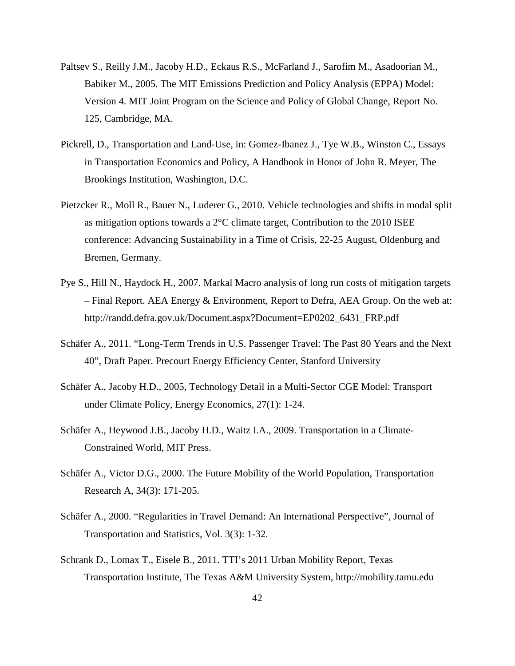- Paltsev S., Reilly J.M., Jacoby H.D., Eckaus R.S., McFarland J., Sarofim M., Asadoorian M., Babiker M., 2005. The MIT Emissions Prediction and Policy Analysis (EPPA) Model: Version 4. MIT Joint Program on the Science and Policy of Global Change, Report No. 125, Cambridge, MA.
- Pickrell, D., Transportation and Land-Use, in: Gomez-Ibanez J., Tye W.B., Winston C., Essays in Transportation Economics and Policy, A Handbook in Honor of John R. Meyer, The Brookings Institution, Washington, D.C.
- Pietzcker R., Moll R., Bauer N., Luderer G., 2010. Vehicle technologies and shifts in modal split as mitigation options towards a  $2^{\circ}$ C climate target, Contribution to the 2010 ISEE conference: Advancing Sustainability in a Time of Crisis, 22-25 August, Oldenburg and Bremen, Germany.
- Pye S., Hill N., Haydock H., 2007. Markal Macro analysis of long run costs of mitigation targets – Final Report. AEA Energy & Environment, Report to Defra, AEA Group. On the web at: http://randd.defra.gov.uk/Document.aspx?Document=EP0202\_6431\_FRP.pdf
- Schäfer A., 2011. "Long-Term Trends in U.S. Passenger Travel: The Past 80 Years and the Next 40", Draft Paper. Precourt Energy Efficiency Center, Stanford University
- Schäfer A., Jacoby H.D., 2005, Technology Detail in a Multi-Sector CGE Model: Transport under Climate Policy, Energy Economics, 27(1): 1-24.
- Schäfer A., Heywood J.B., Jacoby H.D., Waitz I.A., 2009. Transportation in a Climate-Constrained World, MIT Press.
- Schäfer A., Victor D.G., 2000. The Future Mobility of the World Population, Transportation Research A, 34(3): 171-205.
- Schäfer A., 2000. "Regularities in Travel Demand: An International Perspective", Journal of Transportation and Statistics, Vol. 3(3): 1-32.
- Schrank D., Lomax T., Eisele B., 2011. TTI's 2011 Urban Mobility Report, Texas Transportation Institute, The Texas A&M University System, http://mobility.tamu.edu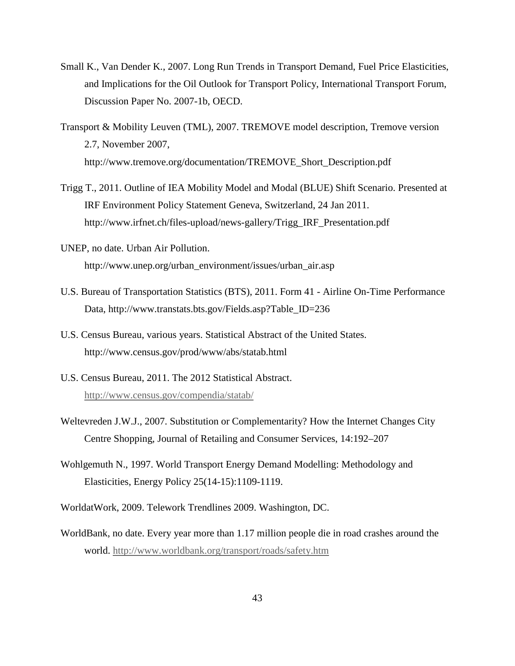- Small K., Van Dender K., 2007. Long Run Trends in Transport Demand, Fuel Price Elasticities, and Implications for the Oil Outlook for Transport Policy, International Transport Forum, Discussion Paper No. 2007-1b, OECD.
- Transport & Mobility Leuven (TML), 2007. TREMOVE model description, Tremove version 2.7, November 2007, http://www.tremove.org/documentation/TREMOVE\_Short\_Description.pdf
- Trigg T., 2011. Outline of IEA Mobility Model and Modal (BLUE) Shift Scenario. Presented at IRF Environment Policy Statement Geneva, Switzerland, 24 Jan 2011. http://www.irfnet.ch/files-upload/news-gallery/Trigg\_IRF\_Presentation.pdf
- UNEP, no date. Urban Air Pollution. http://www.unep.org/urban\_environment/issues/urban\_air.asp
- U.S. Bureau of Transportation Statistics (BTS), 2011. Form 41 Airline On-Time Performance Data, http://www.transtats.bts.gov/Fields.asp?Table\_ID=236
- U.S. Census Bureau, various years. Statistical Abstract of the United States. http://www.census.gov/prod/www/abs/statab.html
- U.S. Census Bureau, 2011. The 2012 Statistical Abstract. <http://www.census.gov/compendia/statab/>
- Weltevreden J.W.J., 2007. Substitution or Complementarity? How the Internet Changes City Centre Shopping, Journal of Retailing and Consumer Services, 14:192–207
- Wohlgemuth N., 1997. World Transport Energy Demand Modelling: Methodology and Elasticities, Energy Policy 25(14-15):1109-1119.
- WorldatWork, 2009. Telework Trendlines 2009. Washington, DC.
- WorldBank, no date. Every year more than 1.17 million people die in road crashes around the world.<http://www.worldbank.org/transport/roads/safety.htm>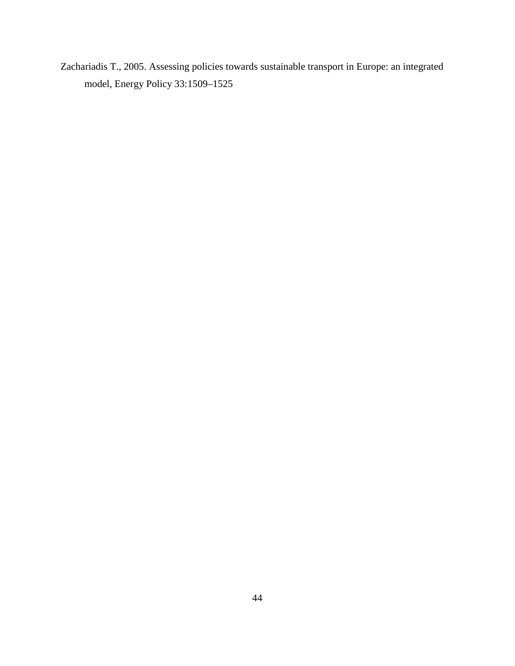Zachariadis T., 2005. Assessing policies towards sustainable transport in Europe: an integrated model, Energy Policy 33:1509–1525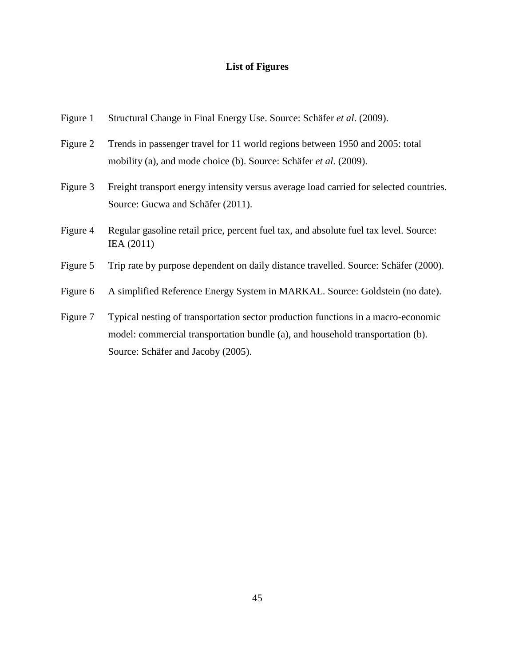# **List of Figures**

| Structural Change in Final Energy Use. Source: Schäfer et al. (2009).                                                                                                                                     |
|-----------------------------------------------------------------------------------------------------------------------------------------------------------------------------------------------------------|
| Trends in passenger travel for 11 world regions between 1950 and 2005: total<br>mobility (a), and mode choice (b). Source: Schäfer et al. (2009).                                                         |
| Freight transport energy intensity versus average load carried for selected countries.<br>Source: Gucwa and Schäfer (2011).                                                                               |
| Regular gasoline retail price, percent fuel tax, and absolute fuel tax level. Source:<br>IEA (2011)                                                                                                       |
| Trip rate by purpose dependent on daily distance travelled. Source: Schäfer (2000).                                                                                                                       |
| A simplified Reference Energy System in MARKAL. Source: Goldstein (no date).                                                                                                                              |
| Typical nesting of transportation sector production functions in a macro-economic<br>model: commercial transportation bundle (a), and household transportation (b).<br>Source: Schäfer and Jacoby (2005). |
|                                                                                                                                                                                                           |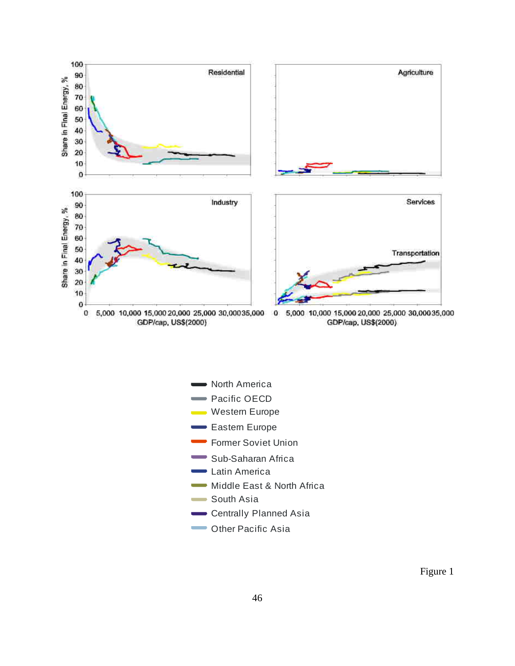

**North America Pacific OECD** Western Europe Eastern Europe Former Soviet Union Sub-Saharan Africa **Latin America Widdle East & North Africa Cother Pacific Asia** South Asia Centrally Planned Asia

Figure 1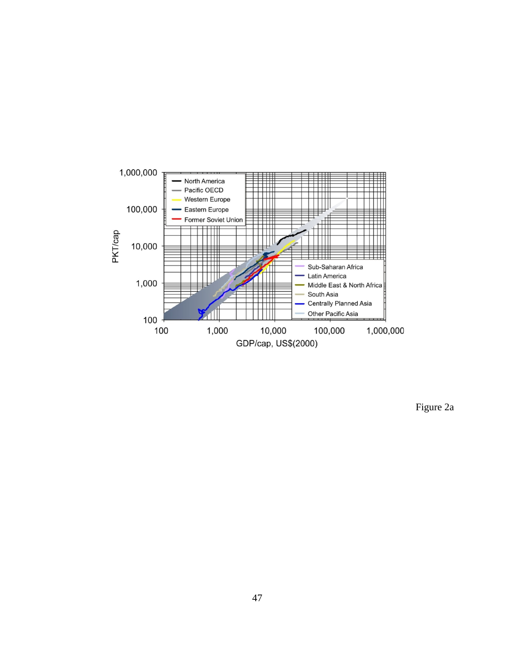

Figure 2a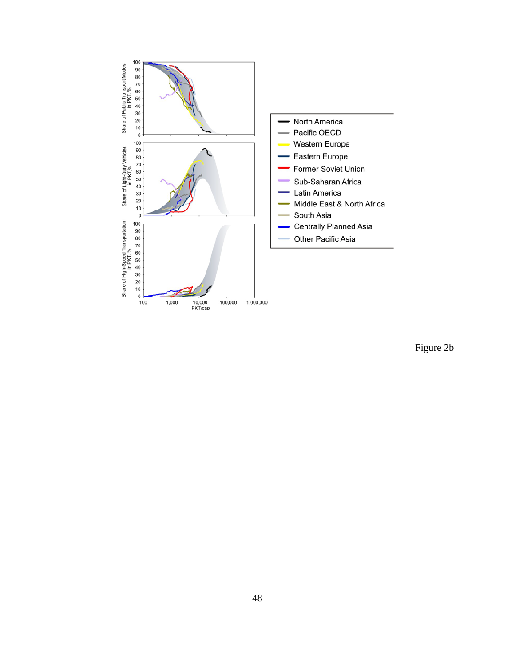

Figure 2b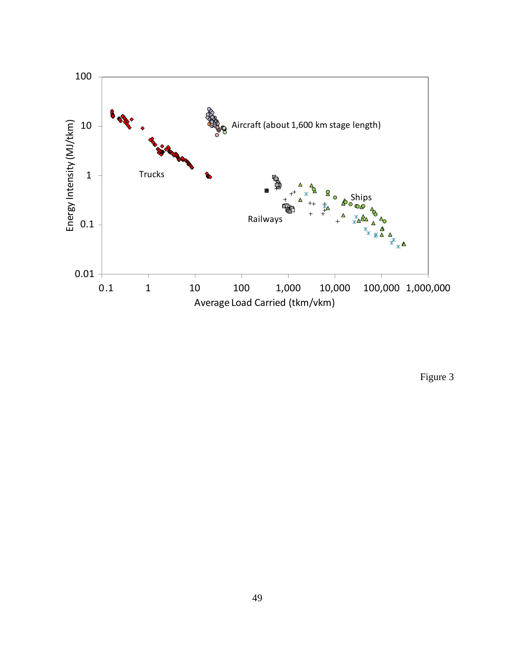

Figure 3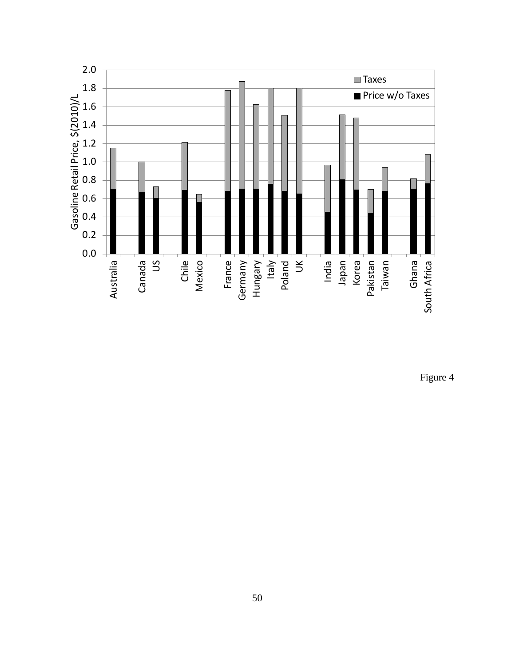

Figure 4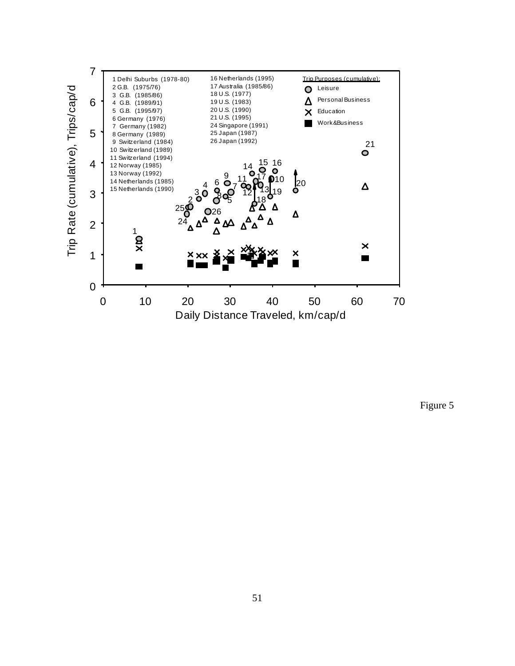

Figure 5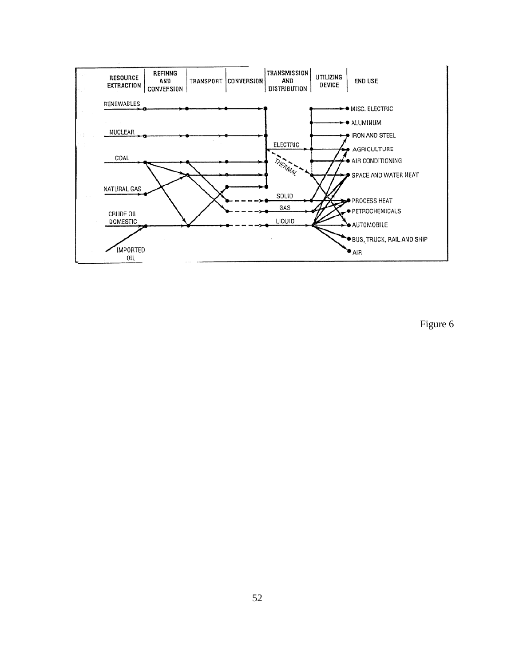

Figure 6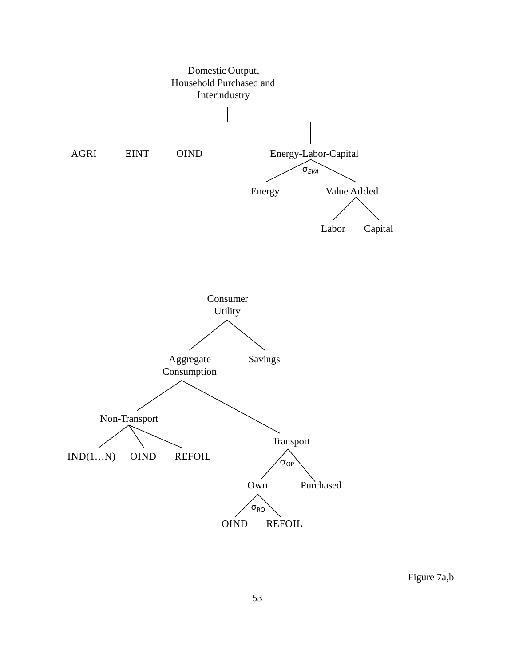

Figure 7a,b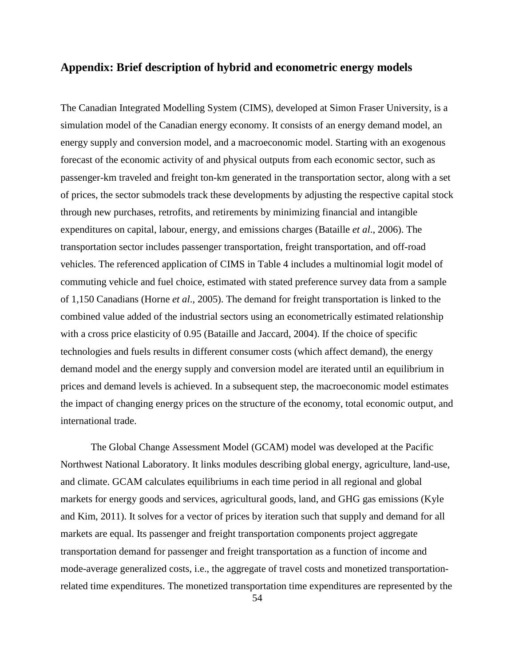# <span id="page-57-0"></span>**Appendix: Brief description of hybrid and econometric energy models**

The Canadian Integrated Modelling System (CIMS), developed at Simon Fraser University, is a simulation model of the Canadian energy economy. It consists of an energy demand model, an energy supply and conversion model, and a macroeconomic model. Starting with an exogenous forecast of the economic activity of and physical outputs from each economic sector, such as passenger-km traveled and freight ton-km generated in the transportation sector, along with a set of prices, the sector submodels track these developments by adjusting the respective capital stock through new purchases, retrofits, and retirements by minimizing financial and intangible expenditures on capital, labour, energy, and emissions charges (Bataille *et al*., 2006). The transportation sector includes passenger transportation, freight transportation, and off-road vehicles. The referenced application of CIMS in Table 4 includes a multinomial logit model of commuting vehicle and fuel choice, estimated with stated preference survey data from a sample of 1,150 Canadians (Horne *et al*., 2005). The demand for freight transportation is linked to the combined value added of the industrial sectors using an econometrically estimated relationship with a cross price elasticity of 0.95 (Bataille and Jaccard, 2004). If the choice of specific technologies and fuels results in different consumer costs (which affect demand), the energy demand model and the energy supply and conversion model are iterated until an equilibrium in prices and demand levels is achieved. In a subsequent step, the macroeconomic model estimates the impact of changing energy prices on the structure of the economy, total economic output, and international trade.

The Global Change Assessment Model (GCAM) model was developed at the Pacific Northwest National Laboratory. It links modules describing global energy, agriculture, land-use, and climate. GCAM calculates equilibriums in each time period in all regional and global markets for energy goods and services, agricultural goods, land, and GHG gas emissions (Kyle and Kim, 2011). It solves for a vector of prices by iteration such that supply and demand for all markets are equal. Its passenger and freight transportation components project aggregate transportation demand for passenger and freight transportation as a function of income and mode-average generalized costs, i.e., the aggregate of travel costs and monetized transportationrelated time expenditures. The monetized transportation time expenditures are represented by the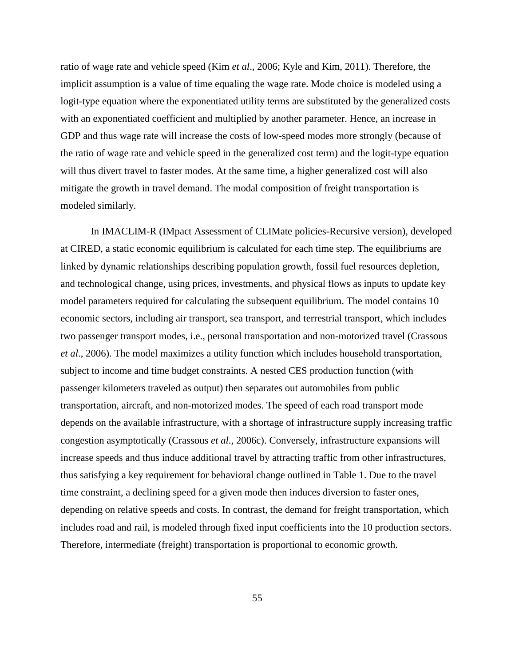ratio of wage rate and vehicle speed (Kim *et al*., 2006; Kyle and Kim, 2011). Therefore, the implicit assumption is a value of time equaling the wage rate. Mode choice is modeled using a logit-type equation where the exponentiated utility terms are substituted by the generalized costs with an exponentiated coefficient and multiplied by another parameter. Hence, an increase in GDP and thus wage rate will increase the costs of low-speed modes more strongly (because of the ratio of wage rate and vehicle speed in the generalized cost term) and the logit-type equation will thus divert travel to faster modes. At the same time, a higher generalized cost will also mitigate the growth in travel demand. The modal composition of freight transportation is modeled similarly.

In IMACLIM-R (IMpact Assessment of CLIMate policies-Recursive version), developed at CIRED, a static economic equilibrium is calculated for each time step. The equilibriums are linked by dynamic relationships describing population growth, fossil fuel resources depletion, and technological change, using prices, investments, and physical flows as inputs to update key model parameters required for calculating the subsequent equilibrium. The model contains 10 economic sectors, including air transport, sea transport, and terrestrial transport, which includes two passenger transport modes, i.e., personal transportation and non-motorized travel (Crassous *et al*., 2006). The model maximizes a utility function which includes household transportation, subject to income and time budget constraints. A nested CES production function (with passenger kilometers traveled as output) then separates out automobiles from public transportation, aircraft, and non-motorized modes. The speed of each road transport mode depends on the available infrastructure, with a shortage of infrastructure supply increasing traffic congestion asymptotically (Crassous *et al*., 2006c). Conversely, infrastructure expansions will increase speeds and thus induce additional travel by attracting traffic from other infrastructures, thus satisfying a key requirement for behavioral change outlined in Table 1. Due to the travel time constraint, a declining speed for a given mode then induces diversion to faster ones, depending on relative speeds and costs. In contrast, the demand for freight transportation, which includes road and rail, is modeled through fixed input coefficients into the 10 production sectors. Therefore, intermediate (freight) transportation is proportional to economic growth.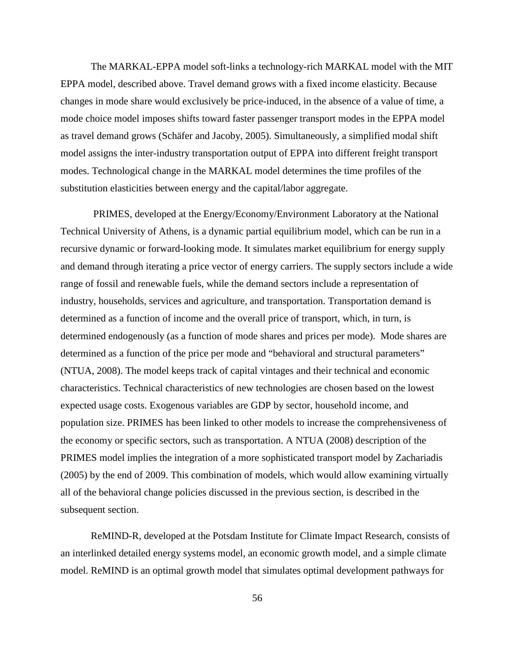The MARKAL-EPPA model soft-links a technology-rich MARKAL model with the MIT EPPA model, described above. Travel demand grows with a fixed income elasticity. Because changes in mode share would exclusively be price-induced, in the absence of a value of time, a mode choice model imposes shifts toward faster passenger transport modes in the EPPA model as travel demand grows (Schäfer and Jacoby, 2005). Simultaneously, a simplified modal shift model assigns the inter-industry transportation output of EPPA into different freight transport modes. Technological change in the MARKAL model determines the time profiles of the substitution elasticities between energy and the capital/labor aggregate.

 PRIMES, developed at the Energy/Economy/Environment Laboratory at the National Technical University of Athens, is a dynamic partial equilibrium model, which can be run in a recursive dynamic or forward-looking mode. It simulates market equilibrium for energy supply and demand through iterating a price vector of energy carriers. The supply sectors include a wide range of fossil and renewable fuels, while the demand sectors include a representation of industry, households, services and agriculture, and transportation. Transportation demand is determined as a function of income and the overall price of transport, which, in turn, is determined endogenously (as a function of mode shares and prices per mode). Mode shares are determined as a function of the price per mode and "behavioral and structural parameters" (NTUA, 2008). The model keeps track of capital vintages and their technical and economic characteristics. Technical characteristics of new technologies are chosen based on the lowest expected usage costs. Exogenous variables are GDP by sector, household income, and population size. PRIMES has been linked to other models to increase the comprehensiveness of the economy or specific sectors, such as transportation. A NTUA (2008) description of the PRIMES model implies the integration of a more sophisticated transport model by Zachariadis (2005) by the end of 2009. This combination of models, which would allow examining virtually all of the behavioral change policies discussed in the previous section, is described in the subsequent section.

ReMIND-R, developed at the Potsdam Institute for Climate Impact Research, consists of an interlinked detailed energy systems model, an economic growth model, and a simple climate model. ReMIND is an optimal growth model that simulates optimal development pathways for